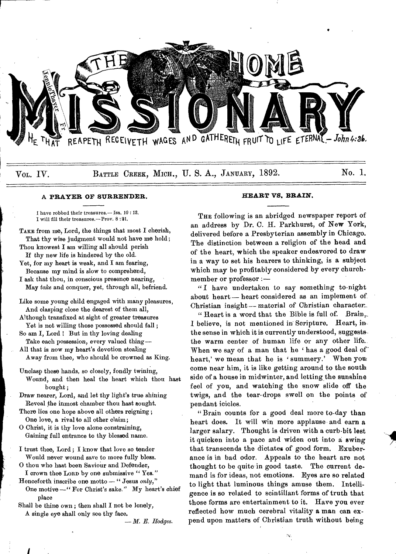

VOL. IV. BATTLE CREEK, MICH., U.S. A., JANUARY, 1892. No. 1.

### A **PRAYER OF SURRENDER. HEART VS. BRAIN.**

I have robbed their treasures.— Isa. 10 : 13. I will fill their treasures.--Prov. 8 :21.

- TAKE from me, Lord, the things that most *I cherish,*  That thy wise judgment would not have me hold; Thou knowest I am willing all should perish
- If thy new life is hindered by the old. Yet, for my heart is weak, and I am fearing,
- Because my mind is slow to comprehend,
- I ask that thou, in conscious presence nearing, May *take* and conquer, yet, through all, befriend.
- Like some young child engaged with many pleasures, And clasping close the dearest of them all,
- Although transfixed at sight of greater treasures Yet is not willing those possessed should fall;
- So am **I,** Lord ! But in thy loving dealing Take each possession, every valued thing—
- All that is now my heart's devotion stealing Away from thee, who should be crowned as King.
- Unclasp these hands, so closely, fondly twining, Wound, and then heal the heart which thou haat bought;
- Draw nearer, Lord, and let thy light's true shining Reveal the inmost chamber thou hast sought.
- There lies one hope above all others reigning ; One love, a rival to all other claim;
- 0 Christ, it is thy love alone constraining, Gaining full entrance to thy blessed name.
- I trust thee, Lord; I know that love so tender Would never wound save to more fully bless.
- O thou who hast been Saviour and Defender, I crown thee LORD by one submissive " Yes."
- Henceforth inscribe one motto " Jesus *only,"*
- One motive —" For Christ's sake." My heart's *chief*  place

Shall be thine own; then shall I not be lonely, A single eye shall only see thy face.

*— M. E. Hodges.* 

THE following is an abridged newspaper report of an address by Dr. C. H. Parkhurst, of New York, delivered before a Presbyterian assembly in Chicago. The distinction between a religion of the head and of the heart, which the speaker endeavored to draw in a way to set his hearers to thinking, is a subject which may be profitably considered by every churchmember or professor :—

" I have undertaken to say something to-night about heart — heart considered as an implement of. Christian insight - material of Christian character.

" Heart is a word that the Bible is full of. Brain,.. I believe, is not mentioned in Scripture. Heart, in, the sense in which it is currently understood, suggests. the warm center of human life or any other life.. When we say of a man that he 'has a good deal of" heart,' we mean that he is 'summery.' When you come near him, it is like getting around to the south side of a house in midwinter, and letting the sunshine feel of you, and watching the snow slide off the twigs, and the tear-drops swell on the points of pendant icicles.

"Brain counts for a good deal more to-day than heart does. It will win more applause and earn a larger salary. Thought is driven with a curb-bit lest it quicken into a pace and widen out into a swing that transcends the dictates of good form. Exuberance is in bad odor. Appeals to the heart are not thought to be quite in good taste. The current demand is for ideas, not emotions. Eyes are so related to light that luminous things amuse them. Intelligence is so related to scintillant forms of truth that those forms are entertainment to it. Have you ever reflected how much cerebral vitality a man can expend upon matters of Christian truth without being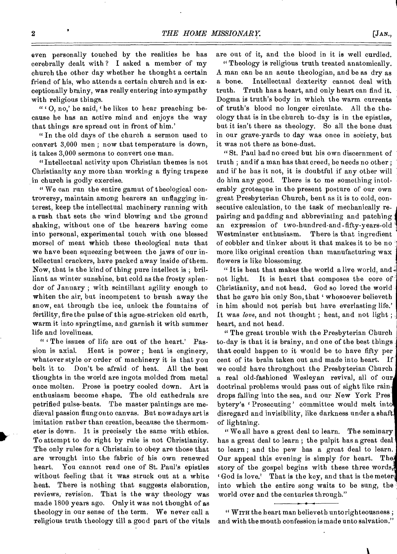even personally touched by the realities he has cerebrally dealt with ? I asked a member of my church the other day whether he thought a certain friend of his, who attends a certain church and is exceptionally brainy, was really entering into sympathy with religious things.

 $``$   $\cdot$  O, no,' he said,  $\cdot$  he likes to hear preaching because he has an active mind and enjoys the way that things are spread out in front of him.'

" In the old days of the church a sermon used to convert 3,000 men ; now that temperature is down, it takes 3,000 sermons to convert one man.

"Intellectual activity upon Christian themes is not Christianity any more than working a flying trapeze in church is godly exercise.

" We can run the entire gamut of theological controversy, maintain among hearers an unflagging interest, keep the intellectual machinery running with a rush that sets the wind blowing and the ground shaking, without one of the hearers having come into personal, experimental touch with one blessed morsel of meat which these theological nuts that we have been squeezing between the jaws of our intellectual crackers, have packed away inside of them. Now, that is the kind of thing pure intellect is ; brilliant as winter sunshine, but cold as the frosty splendor of January ; with scintillant agility enough to whiten the air, but incompetent to brush away the snow, eat through the ice, unlock the fountains of fertility, fire the pulse of this ague-stricken old earth, warm it into springtime, and garnish it with summer life and loveliness.

" 'The issues of life are out of the heart.' Passion is axial. Heat is power ; heat is enginery, whatever style or order of machinery it is that you belt it to. Don't be afraid of heat. All the best thoughts in the world are ingots molded from metal once molten. Prose is poetry cooled down. Art is enthusiasm become shape. The old cathedrals are petrified pulse-beats. The master paintings are mediaeval passion flung onto canvas. But nowadays art is imitation rather than creation, because the thermometer is down. It is precisely the same with ethics. To attempt to do right by rule is not Christianity. The only rules for a Christain to obey are those that are wrought into the fabric of his own renewed heart. You cannot read one of St. Paul's epistles without feeling that it was struck out at a white heat. There is nothing that suggests elaboration, reviews, revision. That is the way theology was made 1800 years ago. Only it was not thought of as theology in our sense of the term. We never call a religious truth theology till a good part of the vitals are out of it, and the blood in it is well curdled.

" Theology is religious truth treated anatomically. A man can be an acute theologian, and be as dry as a bone. Intellectual dexterity cannot deal with truth. Truth has a heart, and only heart can find it. Dogma is truth's body in which the warm currents of truth's blood no longer circulate. All the theology that is in the church to-day is in the epistles, but it isn't there as theology. So all the bone dust in our grave-yards to day was once in society, but it was not there as bone-dust.

"St. Paul had no creed but his own discernment of truth ; and if a man has that creed, he needs no other ; and if he has it not, it is doubtful if any other will do him any good. There is to me something intolerably grotesque in the present posture of our own great Presbyterian Church, bent as it is to cold, consecutive calculation, to the task of mechanically repairing and padding and abbreviating and patching an expression of two-hundred-and -fifty-years-old Westminster enthusiasm. There is that ingredient of cobbler and tinker about it that makes it to be no more like original creation than manufacturing wax flowers is like blossoming.

" It is heat that makes the world a live world, and." not light. It is heart that composes the core of Christianity, and not head. God so loved the world that he gave his only Son, that 'whosoever believeth in him should not perish but have everlasting life.' It was love, and not thought; heat, and not light; heart, and not head.

" The great trouble with the Presbyterian Church to-day is that it is brainy, and one of the best things that could happen to it would be to have fifty per cent of its brain taken out and made into heart. If we could have throughout the Presbyterian Church a real old-fashioned Wesleyan revival, all of our doctrinal problems would pass out of sight like rain drops falling into the sea, and our New York Pres' bytery's ' Prosecuting' committee would melt int disregard and invisibility, like darkness under a shaft' of lightning.

"We all have a great deal to learn. The seminary has a great deal to learn; the pulpit has a great deal to learn ; and the pew has a great deal to learn. Our appeal this evening is simply for heart. The story of the gospel begins with these three words. ' God is love.' That is the key, and that is the meter into which the entire song waits to be sung, the world over and the centuries through."

" WITH the heart man believeth untorighteousness ; and with the mouth confession is made unto salvation."

x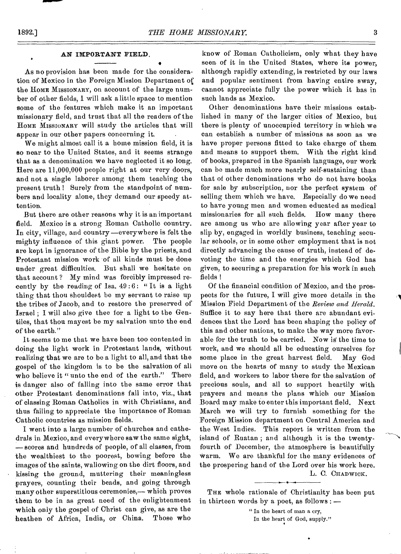#### **AN IMPORTANT FIELD,**

• As no provision has been made for the consideration of Mexico in the Foreign Mission Department of: the HOME MISSIONARY, on account of the large number of other fields, I will ask a little space to mention some of the features which make it an important missionary field, and trust that all the readers of the HOME MISSIONARY will study the articles that will appear in our other papers concerning it.

We might almost call it a home mission field, it is so near to the United States, and it seems strange that as a denomination we have neglected it so long. Here are 11,000,000 people right at our very doors, and not a single laborer among them teaching the present truth ! Surely from the standpoint of numbers and locality alone, they demand our speedy attention.

But there are other reasons why it is an important field. Mexico is a strong Roman Catholic country. In city, village, and country—everywhere is felt the mighty influence of this giant power. The people are kept in ignorance of the Bible by the priests, and Protestant mission work of all kinds must be done under great difficulties. But shall we hesitate on that account ? My mind was forcibly impressed recently by the reading of Isa. 49:6: "It is a light thing that thou shouldest be my servant to raise up the tribes of Jacob, and to restore the preserved of Israel ; I will also give thee for a light to the Gentiles, that thou mayest be my salvation unto the end of the earth."

It seems to me that we have been too contented in doing the light work in Protestant lands, without realizing that we are to be a light to all, and that the gospel of the kingdom is to be the salvation of all who believe it " unto the end of the earth." There is danger also of falling into the same error that other Protestant denominations fall into, viz., that of classing Roman Catholics in with Christians, and thus failing to appreciate the importance of Roman Catholic countries as mission fields.

I went into a large number of churches and cathedrals in Mexico, and everywhere saw the same sight, — scores and hundreds of people, of all classes, from the wealthiest to the poorest, bowing before the images of the saints, wallowing on the dirt floors, and kissing the ground, muttering their meaningless prayers, counting their beads, and going through many other superstitious ceremonies,— which proves them to be in as great need of the enlightenment which only the gospel of Christ can give, as are the heathen of Africa, India, or China. Those who know of Roman Catholicism, only what they have seen of it in the United States, where its power, although rapidly extending, is restricted by our laws and popular sentiment from having entire sway, cannot appreciate fully the power which it has in such lands as Mexico.

Other denominations have their missions established in many of the larger cities of Mexico, but there is plenty of unoccupied territory in which we can establish a number of missions as soon as we have proper persons fitted to take charge of them and means to support them. With the right kind of books, prepared in the Spanish language, our work can be made much more nearly self-sustaining than that of other denominations who do not have books for sale by subscription, nor the perfect system of selling them which we have. Especially do we need to have young men and women educated as medical missionaries for all such fields. How many there are among us who are allowing year after year to slip by, engaged in worldly business, teaching secular schools, or in some other employment that is not directly advancing the cause of truth, instead of devoting the time and the energies which God has given, to securing a preparation for his work in such fields

Of the financial condition of Mexico, and the prospects for the future, I will give more details in the Mission Field Department of the *Review and Herald.*  Suffice it to say here that there are abundant evidences that the Lord has been shaping the policy of this and other nations, to make the way more favorable for the truth to be carried. Now is the time to work, and we should all be educating ourselves for some place in the great harvest field. May God move on the hearts of many to study the Mexican field, and workers to labor there for the salvation of precious souls, and all to support heartily with prayers and means the plans which our Mission Board may make to enter this important field. Next March we will try to furnish something for the Foreign Mission department on Central America and the West Indies. This report is written from the island of Ruatan ; and although it is the twentyfourth of December, the atmosphere is beautifully warm. We are thankful for the many evidences of the prospering hand of the Lord over his work here. L. C. CHADWICK.

THE whole rationale of Christianity has been put in thirteen words by a poet, as follows : —

. •

" In the heart of man a cry, In the heart of God, supply."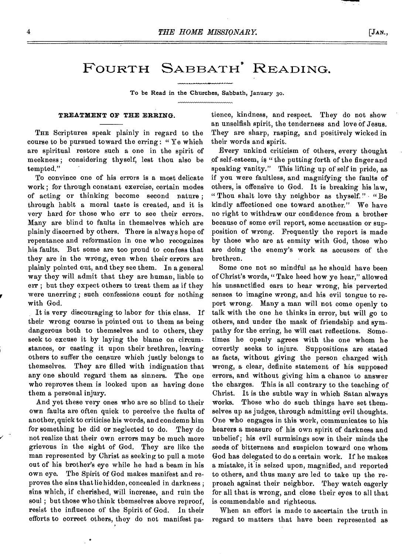## FOURTH SABBATH' READING.

To be Read in the Churches, Sabbath, January 3o.

#### **TREATMENT OF THE ERRING.**

THE Scriptures speak plainly in regard to the course to be pursued toward the erring : " Ye which are spiritual restore such a one in the spirit of meekness ; considering thyself, lest thou also be tempted."

To convince one of his errors is a most delicate work; for through constant exercise, certain modes of acting or thinking become second nature ; through habit a moral taste is created, and it is very hard for those who err to see their errors. Many are blind to faults in themselves which are plainly discerned by others. There is always hope of repentance and reformation in one who recognizes his faults. But some are too proud to confess that they are in the wrong, even when their errors are plainly pointed out, and they see them. In a general way they will admit that they are human, liable to err ; but they expect others to treat them as if they were unerring ; such confessions count for nothing with God.

It is very discouraging to labor for this class. If their wrong course is pointed out to them as being dangerous both to themselves and to others, they seek to excuse it by laying the blame on circumstances, or casting it upon their brethren, leaving others to suffer the censure which justly belongs to themselves. They are filled with indignation that any one should regard them as sinners. The one who reproves them is looked upon as having done them a personal injury.

And yet these very ones who are so blind to their own faults are often quick to perceive the faults of another, quick to criticise his words, and condemn him for something he did or neglected to do. They do not realize that their own errors may be much more grievous in the sight of God. They are like the man represented by Christ as seeking to pull a mote out of his brother's eye while he had a beam in his own eye. The Spirit of God makes manifest and reproves the sins that lie hidden, concealed in darkness ; sins which, if cherished, will increase, and ruin the soul ; but those who think themselves above reproof, resist the influence of the Spirit of God. In their efforts to correct others, they do not manifest patience, kindness, and respect. They do not show an unselfish spirit, the tenderness and love of Jesus. They are sharp, rasping, and positively wicked in their words and spirit.

Every unkind criticism of others, every thought of self-esteem, is " the putting forth of the finger and speaking vanity." This lifting up of self in pride, as if you were faultless, and magnifying the faults of others, is offensive to God. It is breaking his law, " Thou shalt love thy neighbor as thyself." "Be kindly affeetioned one toward another." We have no right to withdraw our confidence from a brother because of some evil report, some accusation or supposition of wrong. Frequently the report is made by those who are at enmity with God, those who are doing the enemy's work as accusers of the brethren.

Some one not so mindful as he should have been of Christ's words, "Take heed how ye hear," allowed his unsanctified ears to hear wrong, his perverted senses to imagine wrong, and his evil tongue to report wrong. Many a man will not come openly to talk with the one he thinks in error, but will go to others, and under the mask of friendship and sympathy for the erring, he will cast reflections. Sometimes he openly agrees with the one whom he covertly seeks to injure. Suppositions are stated as facts, without giving the person charged with wrong, a clear, definite statement of his supposed errors, and without giving him a chance to answer the charges. This is all contrary to the teaching of Christ. It is the subtle way in which Satan always works. Those who do such things have set themselves up as judges, through admitting evil thoughts. One who engages in this work, communicates to his hearers a measure of his own spirit of darkness and unbelief; his evil surmisings sow in their minds the seeds of bitterness and suspicion toward one whom God has delegated to do a certain work. If he makes a mistake, it is seized upon, magnified, and reported to others, and thus many are led to take up the reproach against their neighbor. They watch eagerly for all that is wrong, and close their eyes to all that is commendable and righteous.

When an effort is made to ascertain the truth in regard to matters that have been represented as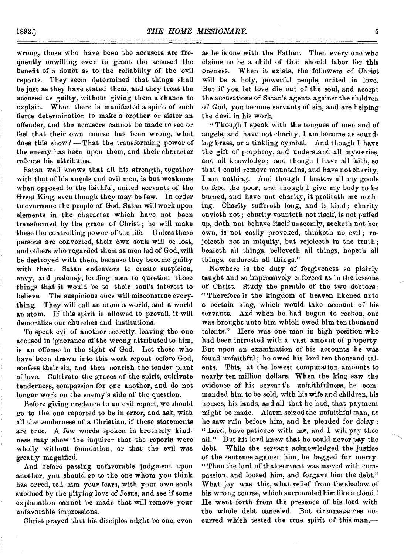wrong, those who have been the accusers are frequently unwilling even to grant the accused the benefit of a doubt as to the reliability of the evil reports. They seem determined that things shall be just as they have stated them, and they treat the accused as guilty, without giving them a chance to explain. When there is manifested a spirit of such fierce determination to make a brother or sister an offender, and the accusers cannot be made to see or *feel* that their own course has been wrong, what does this show? — That the transforming power of the enemy has been upon them, and their character reflects his attributes.

Satan well knows that all his strength, together with that of his angels and evil men, is but weakness when opposed to the faithful, united servants of the Great King, even though they may be few. In order to overcome the people of God, Satan will work upon elements in the character which have not been transformed by the grace of Christ ; he will make these the controlling power of the life. Unless these persons are converted, their own souls will be lost, and others who regarded them as men led of God, will be destroyed with them, because they become guilty with them. Satan endeavors to create suspicion, envy, and jealousy, leading men to question those things that it would be to their soul's interest to believe. The suspicious ones will misconstrue everything. They will call an atom a world, and a world an atom. If this spirit is allowed to prevail, it will demoralize our churches and institutions.

To speak evil of another secretly, leaving the one accused in ignorance of the wrong attributed to him, is an offense in the sight of God. Let those who have been drawn into this work repent before God, confess their sin, and then nourish the tender plant of love. Cultivate the graces of the spirit, cultivate tenderness, compassion for one another, and do not longer work on the enemy's side of the question.

Before giving credence to an evil report, we should go to the one reported to be in error, and ask, with all the tenderness of a Christian, if these statements are true. A few words spoken in brotherly kindness may show the inquirer that the reports were wholly without foundation, or that the evil was greatly magnified.

And before passing unfavorable judgment upon another, you should go to the one whom you think has erred, tell him your fears, with your own souls subdued by the pitying love of Jesus, and see if some explanation cannot be made that will remove your unfavorable impressions.

Christ prayed that his disciples might be one, even

as he is one with the Father. Then every one who claims to be a child of God should labor for this oneness. When it exists, the followers of Christ will be a holy, powerful people, united in love. But if you let love die out of the soul, and accept the accusations of Satan's agents against the children of God, you become servants of sin, and are helping the devil in his work.

" Though I speak with the tongues of men and of angels, and have not charity, I am become as sounding brass, or a tinkling cymbal. And though I have the gift of prophecy, and understand all mysteries, and all knowledge; and though I have all faith, so that I could remove mountains, and have not charity, I am nothing. And though I bestow all my goods to feed the poor, and though I give my body to be burned, and have not charity, it profiteth me nothing. Charity suffereth long, and is kind ; charity envieth not ; charity vaunteth not itself, is not puffed up, doth not behave itself unseemly, seeketh not her own, is not easily provoked, thinketh no evil; rejoiceth not in iniquity, but rejoiceth in the truth; beareth all things, believeth all things, hopeth all things, endureth all things."

Nowhere is the duty of forgiveness so plainly taught and so impressively enforced as in the lessons of Christ. Study the parable of the two debtors : "Therefore is the kingdom of heaven likened unto a oertain king, which would take account of his servants. And when he had begun to reckon, one was brought unto him which owed him ten thousand talents." Here was one man in high position who had been intrusted with a vast amount of property. But upon an examination of his accounts he was found unfaithful; he owed his lord ten thousand talents. This, at the lowest computation, amounts to nearly ten million dollars. When the king saw the evidence of his servant's unfaithfulness, be commanded him to be sold, with his wife and children, his houses, his lands, and all that he had, that payment might be made. Alarm seized the unfaithful man, as he saw ruin before him, and he pleaded for delay : " Lord, have patience with me, and I will pay thee all." But his lord knew that be could never pay the debt. While the servant acknowledged the justice of the sentence against him, he begged for mercy. "Then the lord of that servant was moved with compassion, and loosed him, and forgave him the debt." What joy was this, what relief from the shadow of his wrong course, which surrounded him like a cloud! He went forth from the presence of his lord with the whole debt canceled. But circumstances occurred which tested the true spirit of this man,—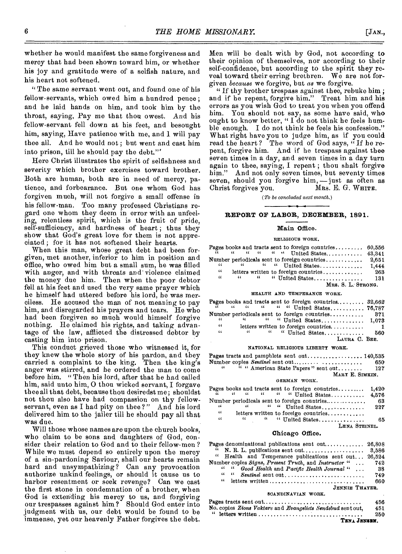whether he would manifest the same forgiveness and mercy that had been shown toward him, or whether his joy and gratitude were of a selfish nature, and his heart not softened.

"The same servant went out, and found one of his fellow-servants, which owed him a hundred pence ; and he laid hands on him, and took him by the throat, saying, Pay me that thou owest. And his fellow-servant fell down at his feet, and besought him, saying, Have patience with me, and 1 will pay thee all. And he would not ; but went and cast him into prison, till he should pay the debt."'

Here Christ illustrates the spirit of selfishness and severity which brother exercises toward brother. Both are human, both are in need of mercy, patience, and forbearance. But one whom God has forgiven much, will not forgive a small offense in his fellow-man. Too many professed Christians regard one whom they deem in error with an unfeeling, relentless spirit, which is the fruit of pride, self-sufficiency, and hardness of heart; thus they show that God's great love for them is not appreciated ; for it has not softened their hearts.

When this man, whose great debt had been forgiven, met another, inferior to him in position and office, who owed him but a small sum, he was filled with anger, and with threats and' violence claimed the money duo him. Then when the poor debtor fell at his feet and used the very same prayer which he himself had uttered before his lord, he was merciless. He accused the man of not meaning to pay him, and disregarded his prayers and tears. He who had been forgiven so much would himself forgive nothing. He claimed his rights, and taking advantage of the law, afflicted the distressed debtor by casting him into prison.

This conduct grieved those who witnessed it, for they knew the whole story of his pardon, and they carried a complaint to the king. Then the king's anger was stirred, and he ordered the man to come before him. " Then his lord, after that he had called him, said unto him, 0 thou wicked servant, I forgave thee all that debt, because thou desiredst me ; shouldst not thou also have bad compassion on thy fellowservant, even as I had pity on thee ?" And his lord delivered him to the jailer till he should pay all that was due.

Will those whose names are upon the church books, who claim to be sons and daughters of God, consider their relation to God and to their fellow-men ? While we must depend so entirely upon the mercy of a sin-pardoning Saviour, shall our hearts remain hard and unsympathizing ? Can any provocation authorize unkind feelings, or should it cause us to harbor resentment or seek revenge? Can we cast the first stone in condemnation of a brother, when God is extending his mercy to us, and forgiving our trespasses against him? Should God enter into judgment with us, our debt would be found to be immense, yet our heavenly Father forgives the debt.

Men will be dealt with by God, not according to their opinion of themselves, nor according to their self-confidence, but according to the spirit they reveal toward their erring brethren. We are not forgiven *because* we forgive, but *as* we forgive.

" If thy brother trespass against thee, rebuke him; and if he repent, forgive him." Treat him and his errors as you wish God to treat you when you offend him. You should not say, as some have said, who ought to know better, "I do not think he feels humble enough. I do not think he feels his confession." What right have you to judge him, as if you could read the heart? The word of God says, "If he repent, forgive him. And if he trespass against thee seven times in a day, and seven times in a day turn again to thee, saying, I repent ; thou shalt forgive him." And not only seven times, but seventy times seven, should you forgive him, -- just as often as<br>Christ forgives you. MRS. E. G. WHITE. Christ forgives you.

*(To be concluded next month.)* 

#### **REPORT OP LABOR, DECEMBER, 1891.**

#### **Main Office.**

#### RELIGIOUS WORK.

|     | Pages books and tracts sent to foreign countries $60,556$ |  |  |                                                    |       |
|-----|-----------------------------------------------------------|--|--|----------------------------------------------------|-------|
|     |                                                           |  |  | $\mu$ $\mu$ $\mu$ $\mu$ $\mu$ United States 43,341 |       |
|     | Number periodicals sent to foreign countries              |  |  |                                                    | 2,651 |
|     |                                                           |  |  |                                                    |       |
| 44  |                                                           |  |  | letters written to foreign countries               | 263   |
| 66. |                                                           |  |  | " United States                                    | 131   |
|     |                                                           |  |  | MRS. S. L. STRONG.                                 |       |

#### HEALTH AND TEMPERANCE WORK.

|    |  |                                      |  |  |  |  | Pages books and tracts sent to foreign countries $32,662$                                                                                                                                                                                                                                                           |
|----|--|--------------------------------------|--|--|--|--|---------------------------------------------------------------------------------------------------------------------------------------------------------------------------------------------------------------------------------------------------------------------------------------------------------------------|
|    |  |                                      |  |  |  |  | $\frac{1}{6}$ $\frac{1}{6}$ $\frac{1}{6}$ $\frac{1}{6}$ $\frac{1}{6}$ $\frac{1}{6}$ $\frac{1}{6}$ $\frac{1}{6}$ $\frac{1}{6}$ $\frac{1}{6}$ $\frac{1}{6}$ $\frac{1}{6}$ $\frac{1}{6}$ $\frac{1}{6}$ $\frac{1}{6}$ $\frac{1}{6}$ $\frac{1}{6}$ $\frac{1}{6}$ $\frac{1}{6}$ $\frac{1}{6}$ $\frac{1}{6}$ $\frac{1}{6}$ |
|    |  |                                      |  |  |  |  | Number periodicals sent to foreign countries 871                                                                                                                                                                                                                                                                    |
|    |  |                                      |  |  |  |  | " " United States 1,073                                                                                                                                                                                                                                                                                             |
| 66 |  | letters written to foreign countries |  |  |  |  |                                                                                                                                                                                                                                                                                                                     |
| 44 |  | $\mu$ $\mu$ $\alpha$ United States   |  |  |  |  | - 560                                                                                                                                                                                                                                                                                                               |
|    |  |                                      |  |  |  |  | LAURA C. BEE.                                                                                                                                                                                                                                                                                                       |

#### NATIONAL RELIGIOUS LIBERTY WORK.

Pages tracts and pamphlets sent out 140,535 Number copies *Sentinel* sent out 650  $\cdots$  " American State Papers" sent out...... MARY E. SIMKIN.

#### GERMAN WORK.

|    |                                    | Pages books and tracts sent to foreign countries $1,420$ |  |                  |  |               |     |
|----|------------------------------------|----------------------------------------------------------|--|------------------|--|---------------|-----|
|    |                                    | $\mu$ $\mu$ $\mu$ $\mu$ $\mu$ United States 4,576        |  |                  |  |               |     |
|    |                                    | Number periodicals sent to foreign countries             |  |                  |  |               | -63 |
| "  |                                    |                                                          |  | " "United States |  |               | 227 |
| 44 |                                    | letters written to foreign countries                     |  |                  |  |               |     |
| 46 | $\epsilon$ . The set of $\epsilon$ |                                                          |  | " "United States |  |               | 65  |
|    |                                    |                                                          |  |                  |  | LENA STEINEL. |     |

#### **Chicago Office.**

| Pages denominational publications sent out 26,808        |      |
|----------------------------------------------------------|------|
|                                                          |      |
| " Health and Temperance publications sent out 26,524     |      |
| Number copies Signs, Present Truth, and Instructor " 742 |      |
| Good Health and Pacific Health Journal "<br>$\cdots$     | - 38 |
|                                                          | 749  |
| $\cdots$ letters written                                 | 660  |
| <b>JENNIE THAYER.</b>                                    |      |
| SCANDINAVIAN WORK.                                       |      |

| Pages tracts sent out                                       | 456 |
|-------------------------------------------------------------|-----|
| No. copies Zions Vaktare and Evangeliets Sendebud sent out, | 451 |
|                                                             | 250 |
| TENA JENSEN.                                                |     |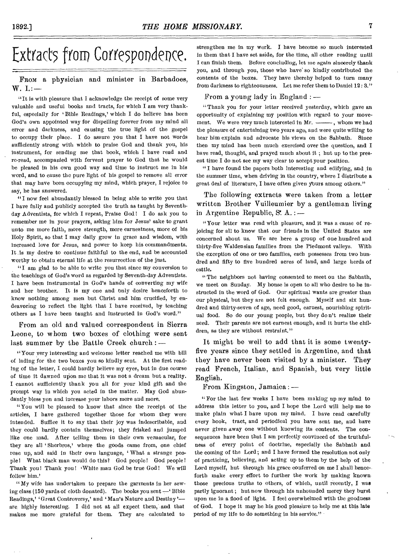# Extracts from Correspondence.

### FROM a physician and minister in Barbadoes, W. I.:—

"It is with pleasure that I acknowledge the receipt of some very valuable and useful books and tracts, for which I am very thankful, especially for 'Bible Readings,' which I do believe has been God's own appointed way for dispelling forever from my mind all error and darkness, and causing the true light of the gospel to occupy their place. I do assure you that I have not words sufficiently strong with which to praise God and thank you, his instrument, for sending me that book, which I have read and re-read, accompanied with fervent prayer to God that he would be pleased in his own good way and time to instruct me in his word, and to cause the pure light of his gospel to remove all error that may have been occupying my mind, which prayer, I rejoice to say, he has answered.

"I now feel abundantly blessed in being able to write you that I have fully and publicly accepted the truth as taught by Seventhday Adventists, for which I repeat, Praise God! I do ask you to remember me in your prayers, asking him for Jesus' sake to grant unto me more faith, more strength, more earnestness, more of his Holy Spirit, so that I may daily grow in grace and wisdom, with increased love for Jesus, and power to keep his commandments. It is my desire to continue faithful to the end, and be accounted worthy to obtain eternal life at the resurrection of the just.

"I am glad to be able to write you that since my conversion to the teachings of God's word as regarded by Seventh-day Adventists. I have been instrumental in God's hands of converting my wife and her brother. It is my one and Only desire henceforth to know nothing among men but Christ and him crucified, by endeavoring to reflect the light that I have received, by teaching others as I have been taught and instructed in God's word."

From an old and valued correspondent in Sierra Leone, to whom two boxes of clothing were sent last summer by the Battle Creek church : —

"Your very interesting and welcome letter reached me with bill of lading for the two boxes you so kindly sent. At the first reading of the letter, I could hardly believe my eyes, but in due course of time it dawned upon me that it was not a dream but a reality. I cannot sufficiently thank you all for your kind gift and the prompt way in which you acted in the matter. May God abundantly bless you and increase your labors more and more.

"You will be pleased to know that since the receipt of the articles, I have gathered together those for whom they were intended. Suffice it to say that their joy was indescribable, and they could hardly contain themselves; they frisked and jumped like one mad. After telling them in their own vernacular, for they are all 'Sherbros,' where the goods came from, one chief rose up, and said in their own language, What a strange people! What black man would do this? God people! God people! Thank you! Thank you! 'White man God be true God! We will follow him.'

" My wife has undertaken to prepare the garments in her sewing class (150 yards of cloth donated). The books you sent —` Bible Readings,' 'Great Controversy,' and 'Man's Nature and Destiny' are highly interesting. I did not at all expect them, and that makes me more grateful for them. They are calculated to

strengthen me in my work. I have become so much interested in them that I have set aside, for the time, all other reading until I can finish them. Before concluding, let me again sincerely thank you, and through you, those who have' so kindly contributed the contents of the boxes. They have thereby helped to turn many from darkness to righteousness. Let me refer them to Daniel 12: 3,"

#### From a young lady in England : —

"Thank you for your letter received yesterday, which gave an opportunity of explaining my position with regard to your movement. We were very much interested in Mr. \_\_\_\_\_\_, whom we had the pleasure of entertaining two years ago, and were quite willing to hear him explain and advocate his views on the Sabbath. Since then my mind has been much exercised over the question, and I have read, thought, and prayed much about it ; but up to the present time I do not see my way clear to accept your position.

"I have found the papers both interesting and edifying, and in the summer time, when driving in the country, where I distribute a great deal of literature, I have often given yours among others."

### The following extracts were taken from a letter written Brother Vuilleumier by a gentleman living in Argentine Republic, S.  $A. :=$

" Your letter was read with pleasure, and it was a cause of rejoicing for all to know that, our friends in the United States are concerned about us. We are here a group of one hundred and thirty-five Waldensian families from the Piedmont valleys. With the exception of one or two families, each possesses from two hundred and fifty to five hundred acres of land, and large herds of cattle.

" The neighbors not having consented to meet on the Sabbath, we meet on Sunday. My honse is open to all who desire to be instructed in the word of God. Our spiritual wants are greater than our physical, but they are not felt enough. Myself and six hundred and thirty-seven of age, need good, earnest, nourishing spiritual food. So do our young people, but they do n't realize their need. Their parents are not earnest enough, and it hurts the children, as they are without restraint."

It might be well to add that it is some twentyfive years since they settled in Argentine, and that they have never been visited by a minister. They read French, Italian, and Spanish, but very little English.

From Kingston, Jamaica : —

"For the last few weeks I have been making np my mind to address this letter to you, and I hope the Lord will help me to make plain what I have upon my mind. I have read carefully every book, tract, and periodical you have sent me, and have never given away one without knowing its contents. The consequences have been that I am perfectly convinced of the truthfulness of every point of doctrine, especially the Sabbath and the coming of the Lord; and I have formed the resolution not only of practicing, believing, and acting up to them by the help of the Lord myself, but through his grace conferred on me I shall hence-. forth make every effort to further the work by making known those precious truths to others, of which, until recently, I was partly ignorant ; but now through his unbounded mercy they burst upon me in a flood of light. I feel overwhelmed with the goodness of God. I hope it may he his good pleasure to help me at this late period of my life to do something in his service."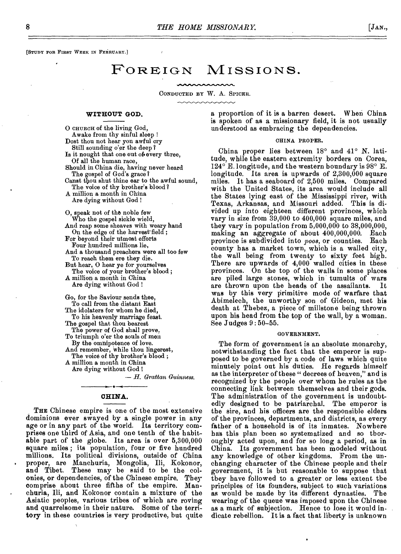[STUDY FOR FIRST WEER IN FEBRUARY.]

### FOREIGN MISSIONS.

CONDUCTED BY W. A. SPICER.

#### **WITHOUT GOD.**

O CHURCH of the living God, Awake from thy sinful sleep 1 Dost thou not hear yon awful cry Still sounding o'er the deep ? Is it nought that one out of. every three, Of all the human race, Should in China die, having never heard The gospel of God's grace ? Canst thou shut thine ear to the awful sound. The voice of thy brother's blood? A million a month in China Are dying without God 0, speak not of the noble few Who the gospel sickle wield,

And reap some sheaves with weary hand On the edge of the harvest field; For beyond their utmost efforts Four hundred millions lie, And a thousand preachers were all too *few*  To reach them ere they die. But hear, 0 hear ye for yourselves The voice of your brother's blood ; A million a month in China Are dying without God

Go, for the Saviour sends thee, To call from the distant East The idolaters for whom he died, To his heavenly marriage feast. The gospel that thou bearest The power of God shall prove, To triumph o'er the souls of men By the omnipotence of love. And remember, while thou lingerest, The voice of thy brother's blood ; A million a month in China Are dying without God I

*— H. Grattan Guinness.* 

#### **CHINA.**

THE Chinese empire is one of the most extensive dominions ever swayed by a single power in any age or in any part of the world. Its territory comprises one third of Asia, and one tenth of the habitable part of the globe. Its area is over 5,300,000 square miles; its population, four or five hundred millions. Its political divisions, outside of China proper, are Manchuria, Mongolia, Ili, Kokonor, and Tibet. These may be said to be the colonies, or dependencies, of the Chinese empire. They comprise about three fifths of the empire. Manchuria, Ili, and Kokonor contain a mixture of the Asiatic peoples, various tribes of which are roving and quarrelsome in their nature. Some of the territory in these countries is very productive, but quite

a proportion of it is a barren desert. When China is spoken of as a missionary field, it is not usually understood as embracing the dependencies.

#### CHINA PROPER.

China proper lies between 18° and 41° N. latitude, while the eastern extremity borders on Corea,  $124^{\circ}$  E. longitude, and the western boundary is 98 $^{\circ}$  E. longitude. Its area is upwards of  $2,300,000$  square miles. It has a seaboard of 2,500 miles. Compared with the United States, its area would include all the States *lying* east of the Mississippi river, with Texas, Arkansas, and Missouri added. This is divided up into eighteen different provinces, which vary in size from 39,000 to 400,000 square miles, and they vary in population from 5,000,000 to 38,000,000,<br>making an aggregate of about 400,000,000. Each making an aggregate of about  $400,000,000$ . province is subdivided into *poos*, or counties. Each county has a market town, which is a walled city, the wall being from twenty to sixty feet high. There are upwards of 4,000 walled cities in these provinces. On the top of the walls in some places are piled large stones, which in tumults of wars are thrown upon the heads of the assailants. It was by this very primitive mode of warfare that Abimelech, the unworthy son of Gideon, met his death at Thebez, a piece of millstone being thrown upon his head from the top of the wall, by a woman. See Judges 9 : 50-55.

#### GOVERNMENT.

The form of government is an absolute monarchy, notwithstanding the fact that the emperor is supposed to be governed by a code of laws which quite minutely point out his duties. He regards himself as the interpreter of these " decrees of heaven," and is recognized by the people over whom he rules as the connecting link between themselves and their gods. The administration of the government is undoubtedly designed to be patriarchal. The emperor is the sire, and his officers are the responsible elders of the provinces, departments, and districts, as every father of a household is of its inmates. Nowhere has this plan been so systematized and so thoroughly acted upon, and for so long a period, as in China. Its government has been modeled without any knowledge of other kingdoms. From the unchanging character of the Chinese people and their government, it is but reasonable to suppose that they have followed to a greater or less extent the principles of its founders, subject to such variations as would be made by its different dynasties. wearing of the queue was imposed upon the Chinese as a mark of subjection. Hence to lose it would indicate rebellion. It is a fact that liberty is unknown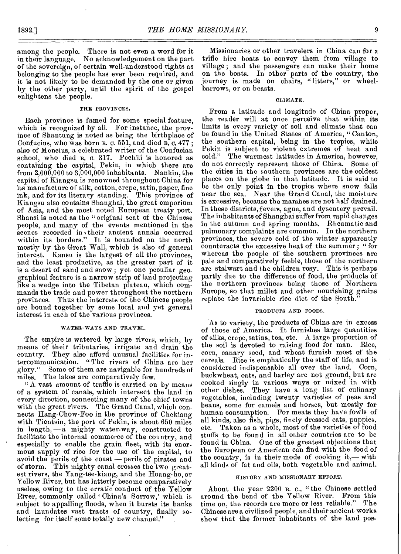among the people. There is not even a word for it in their language. No acknowledgement on the part of the sovereign, of certain well-understood rights as belonging to the people has ever been required, and it is not likely to be demanded by the one or given by the other party, until the spirit of the gospel enlightens the people.

#### THE PROVINCES.

Each province is famed for some special feature, which is recognized by all. For instance, the province of Shantung is noted as being the birthplace of Confucius, who was born B. c.  $551$ , and died B. c.  $477$ ; also of Mencius, a celebrated writer of the Confucian school, who died B. o. 317. Pechili is honored as containing the capital, Pekin, in which there are from  $2,000,000$  to  $3,000,000$  inhabitants. Nankin, the capital of Kiangsu is renowned throughout China for its manufacture of silk, cotton, crepe, satin, paper, fine ink, and for its literary standing. This province of Kiangsu also contains Shanghai, the great emporium of Asia, and the most noted European treaty port. Shansi is noted as the "original seat of the Chinese people, and many of the events mentioned in the scenes recorded in their ancient annals occurred within its borders." It is bounded on the north mostly by the Great Wall, which is also of general interest. Kansu is the largest of all the provinces, and the least productive, as the greater part of it is a desert of sand and snow ; yet one peculiar geographical feature is a narrow strip of land projecting like a wedge into the Tibetan plateau, which commands the trade and power throughout the northern provinces. Thus the interests of the Chinese people are bound together by some local and yet general interest in each of the various provinces.

#### WATER-WAYS AND TRAVEL.

The empire is watered by large rivers, which, by means of their tributaries, irrigate and drain the country. They also afford unusual facilities for intercommunication. " The rivers of China are her glory." Some of them are navigable for hundreds of miles. The lakes are comparatively few.

"A vast amount of traffic is carried on by means of a system of canals, which intersect the land in every direction, connecting many of the chief towns with the great rivers. The Grand Canal, which connects Hang-Chow-Foo in the province of Chekiang with Tientsin, the port of Pekin, is about 650 miles in length, — a mighty water-way, constructed to facilitate the internal oommerce of the country, and especially to enable the grain fleet, with its enormous supply of rice for the use of the capital, to avoid the perils of the coast — perils of pirates and of storm. This mighty canal crosses the two greatest rivers, the Yang-tse-kiang, and the Hoang-ho, or Yellow River, but has latterly become comparatively useless, owing to the erratic conduct of the Yellow River, commonly called China's Sorrow,' which is subject to appalling floods, when it bursts its banks and inundates vast tracts of country, finally selecting for itself some totally new channel."

Missionaries or other travelers in China can for a trifle hire boats to convey them from village to village ; and the passengers can make their home on the boats. In other parts of the country, the journey is made on chairs, "litters," or wheelbarrows, or on beasts.

#### CLIMATE.

From a latitude and longitude of China proper, the reader will at once perceive that within its limits is every variety of soil and climate that can be found in the United States of America, " Canton, the southern capital, being in the tropics, while Pekin is subject to violent extremes of heat and cold." The warmest latitudes in America, however. The warmest latitudes in America, however, do not correctly represent those of China. Some of the cities in the southern provinces are the coldest places on the globe in that latitude. It is said to be the only point in the tropics where snow falls near the sea. Near the Grand Canal, the moisture is excessive, because the marshes are not half drained. In these districts, fevers, ague, and dysentery prevail. The inhabitants of Shanghai suffer from rapid changes in the autumn and spring months. Rheumatic and pulmonary complaints are common. In the northern provinces, the severe cold of the winter apparently counteracts the excessive heat of the summer; "for whereas the people of the southern provinces are pale and comparatively feeble, those of the northern are stalwart and the children rosy. This is perhaps partly due to the difference of food, the products of the northern provinces being those of Northern Europe, so that millet and other nourishing grains replace the invariable rice diet of the South.

#### PRODUCTS AND FOODS.

As to variety, the products of China are in excess of those of America. It furnishes large quantities of silks, crepe, satins, tea, etc. A large proportion of the soil is devoted to raising food for man. Rice, corn, canary seed, and wheat furnish most of the cereals. Rice is emphatically the staff of life, and is considered indispensable all over the land. Corn, buckwheat, oats, and barley are not ground, but are cooked singly in various ways or mixed in with other dishes. They have a long list of culinary vegetables, including twenty varieties of peas and beans, some for camels and horses, but mostly for human consumption. For meats they have fowls of all kinds, also fish, pigs, finely dressed cats, puppies, etc. Taken as a whole, most of the varieties of food stuffs to be found in all other countries are to be found in China. One of the greatest objections that the European or American can find with the food of the country, is in their mode of cooking it,— with all kinds of fat and oils, both vegetable and animal.

#### HISTORY AND MISSIONARY EFFORT.

About the year 2200 B. C., " the Chinese settled around the bend of the Yellow River. From this time on, the records are more or less reliable." The Chinese are a civilized people, and their ancient works show that the former inhabitants of the land pos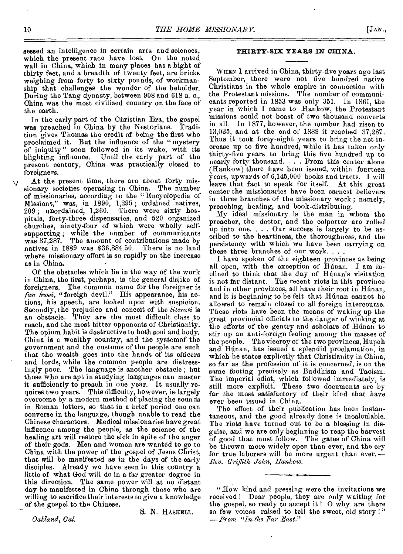sessed an intelligence in certain arts and sciences, which the present race have lost. On the noted wall in China, which in many places has a hight of thirty feet, and a breadth of twenty feet, are bricks weighing from forty to sixty pounds, of workmanship that challenges the wonder of the beholder. During the Tang dynasty, between 908 and 618 B. c., China was the most civilized country on the face of the earth.

In the early part of the Christian Era, the gospel was preached in China by the Nestorians. Tradition gives Thomas the credit of being the first who proclaimed it. But the influence of the " mystery of iniquity" soon followed in its wake, with its blighting influence. Until the early part of the present century, China was practically closed to foreigners.

At the present time, there are about forty missionary societies operating in China. The number of missionaries, according to the " Encyclopedia of Missions," was, in 1890, 1,295 ; ordained natives, 209 ; unordained, 1,260. There were sixty hospitals, forty-three dispensaries, and 520 organized churches, ninety-four of which were wholly selfsupporting ; while the number of communicants was 37,287. The amount of contributions made by natives in 1889 was \$36,884.50. There is no land where missionary effort is so rapidly on the increase as in China.

Of the obstacles which lie in the way of the work in China, the first, perhaps, is the general dislike of foreigners. The common name for the foreigner is *fan kwei, "* foreign devil." His appearance, his actions, his speech, are looked upon with suspicion. Secondly, the prejudice and conceit of the *literati* is an obstacle. They are the most difficult class to reach, and the most bitter opponents of Christianity. The opium habit is dastructive to both soul and body. China is a wealthy country, and the systemof the government and the customs of the people are such that the wealth goes into the hands of its officers and lords, while the common people are distressingly poor. The language is another obstacle ; but those who are apt in studying languages can master it sufficiently to preach in one year. It usually requires two years. This difficulty, however, is largely overcome by a modern method of placing the sounds in Roman letters, so that in a brief period one can converse in the language, though unable to read the Chinese characters. Medical missionaries have great influence among the people, as the science of the healing art will restore the sick in spite of the anger of their gods. Men and women are wanted to go to China with the power of the gospel of Jesus Christ, that will be manifested as in the days of the early disciples. Already we have seen in this country a little of what God will do in a far greater degree in this direction. The same power will at no distant day be manifested in China through those who are willing to sacrifice their interests to give a knowledge of the gospel to the Chinese.

*Oakland, Cal* 

S. N. HASKELL.

#### **THIRTY-SIX YEARS IN CHINA.**

WHEN I arrived in China, thirty-five years ago last September, there were not five hundred native Christians in the whole empire in connection with the Protestant missions. The number of communicants reported in 1853 was only 351. In 1861, the year in which I came to Hankow, the Protestant missions could not boast of two thousand converts in all. In 1877, however, the number had risen to 13,035, and at the end of 1889 it reached 37,287. Thus it took forty-eight years to bring the net increase up to five hundred, while it has taken only thirty-five years to bring this five hundred up to nearly forty thousand. . . . From this center alone (Hankow) there have been issued, within fourteen years, upwards of 6,145,000 books and tracts. I will leave that fact to speak for itself. At this great center the missionaries have been earnest believers in three branches of the missionary work ; namely, preaching, healing, and book-distributing.

My ideal missionary is the man in whom the preacher, the doctor, and the colporter are rolled up into one. . . . Our success is largely to be ascribed to the heartiness, the thoroughness, and the persistency with which we have been carrying on these three branches of our work....

I have spoken of the eighteen provinces as being all open, with the exception of Hunan. I am inclined to think that the day of Htinan's visitation is not far distant. The recent riots in this province and in other provinces, all have their root in Hunan, and it is beginning to be felt that Hunan cannot be allowed to remain closed to all foreign intercourse. These riots have been the means of waking up the great provincial officials to the danger of winking at the efforts of the gentry and scholars of Hunan to stir up an anti-foreign feeling among the masses of the people. The viceroy of the two provinces, Hupeh and Hunan, has issued a splendid proclamation, in which he states explicitly that Christianity in China, so far as the profession of it is concerned, is on the same footing precisely as Buddhism and Taoism. The imperial ediot, which followed immediately, is still more explicit. These two documents are by far the most satisfactory of their kind that have ever been issued in China.

The effect of their publication has been instantaneous, and the good already done is incalculable. The riots have turned out to be a blessing in disguise, and we are only beginning to reap the harvest of good that must follow. The gates of China will be thrown more widely open than ever, and the cry for true laborers will be more urgent than ever. *— Rev. Griffith John, Hankow.* 

<sup>&</sup>quot;How kind and pressing were the invitations we received ! Dear people, they are only waiting for the gospel, so ready to accept it!  $\sigma$  why are there so few voices raised to tell the sweet, old story!" *-- From "In the Far East."*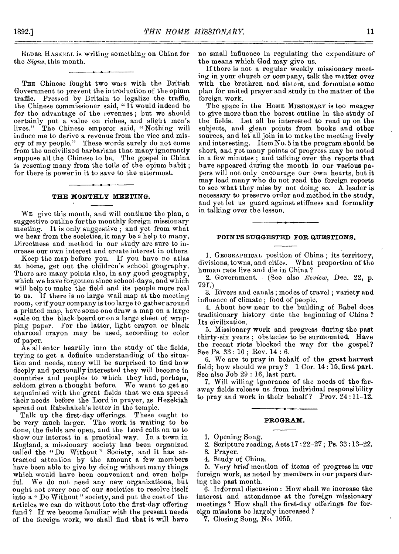ELDER HASKELL is writing something on China for the *Signs,* this month.

THE Chinese fought two wars with the British Government to prevent the introduction of the opium traffic. Pressed by Britain to legalize the traffic, the Chinese commissioner said, " It would indeed be for the advantage of the revenues; but we should certainly put a value on riches, and slight men's lives." The Chinese emperor said, " Nothing will induce me to derive a revenue from the vice and misery of my people." These words surely do not come from the uncivilized barbarians that many ignorantly suppose all the Chinese to be. The gospel in China is rescuing many from the toils of the opium habit; for there is power in it to save to the uttermost.

#### **THE MONTHLY MEETING.**

WE give this month, and will continue the plan, a suggestive outline for the monthly foreign missionary meeting. It is only suggestive ; and yet from what wo hear from the societies, it may be a help to many. Directness and method in our study are sure to increase our own interest and create interest in others.

Keep the map before you. If you have no atlas at home, get out the children's school geography. There are many points also, in any good geography, which we have forgotten since school-days, and which will help to make the field and its people more real<br>to us. If there is no large wall map at the meeting If there is no large wall map at the meeting room, or if your company is too large to gather around a printed map, have some one draw a map on a large scale on the black-board or on a large sheet of wrapping paper. For the latter, light crayon or black charcoal crayon may be used, according to color of paper.

As all enter heartily into the study of the fields, trying to get a definite understanding of the situation and needs, many will be surprised to find how deeply and personally interested they will become in countries and peoples to which they had, perhaps, seldom given a thought before. We want to get so acquainted with the great fields that we can spread their needs before the Lord in prayer, as Hezekiah spread out Rabshakeh's letter in the temple.

Talk up the first-day offerings. These ought to be very much larger. The work is waiting to be done, the fields are open, and the Lord calls on us to show our interest in a practical way. In a town in England, a missionary society has been organized called the "Do Without" Society, and it has attracted attention by the amount a few members have been able to give by doing without many things which would have been convenient and even help-<br>ful. We do not need any new organizations, but We do not need any new organizations, but ought not every one of our societies to resolve itself into a " Do Without " society, and put the cost of the articles we can do without into the first-day offering fund? If we become familiar with the present needs of the foreign work, we shall find that it will have no small influence in regulating the expenditure of the means which God may give us.

If there is not a regular weekly missionary meeting in your church or company, talk the matter over with the brethren and sisters, and formulate some plan for united prayer and study in the matter of the foreign work.

The space in the HOME MISSIONARY is too meager to give more than the barest outline in the study of the fields. Let all be interested to read up on the subjects, and glean points from books and other sources, and let all join in to make the meeting lively and interesting. Item No. 5 in the program should be short, and yet many points of progress may be noted in a few minutes ; and talking over the reports that have appeared during the month in our various papers will not only encourage our own hearts, but it may lead many who do not read the foreign reports to see what they miss by not doing so. A leader is necessary to preserve order and method in the study, and yet let us guard against stiffness and formality in talking over the lesson.

#### **POINTS SUGGESTED FOR QUESTIONS.**

1. GEOGRAPHICAL position of China ; its territory, divisions, towns, and cities. What proportion of the human race live and die in China ?

2. Government. (See also *Review,* Dec. 22, p. 79f.)

3. Rivers and canals ; modes of travel ; variety and influence of climate ; food of people.

4. About how near to the building of Babel does traditionary history date the beginning of China ? Its civilization.

5. Missionary work and progress during the past thirty-six years ; obstacles to be surmounted. Have the recent riots blocked the way for the gospel? See Ps. 33 : 10 ; Rev. 14 : 6.

6. We are to pray in behalf of the great harvest field; how should we pray? 1 Cor. 14:15, first part. See also Job 29 : 16, last part.

7. Will willing ignorance of the needs of the faraway fields release us from individual responsibility to pray and work in their behalf ? Prov. 24 :11-12.

#### **PROGRAM.**

I. Opening Song.

2. Scripture reading, Acts 17 : 22-27 ; Ps. 33 : 13-22.

3. Prayer.

4. Study of China.

5. Very brief mention of items of progress in our foreign work, as noted by members in our papers during the past month.

6. Informal discussion : How shall we increase the interest and attendance at the foreign missionary meetings ? How shall the first-day offerings for foreign missions be largely increased ?

 $\frac{1}{2}$ 

7. Closing Song, No. 1055.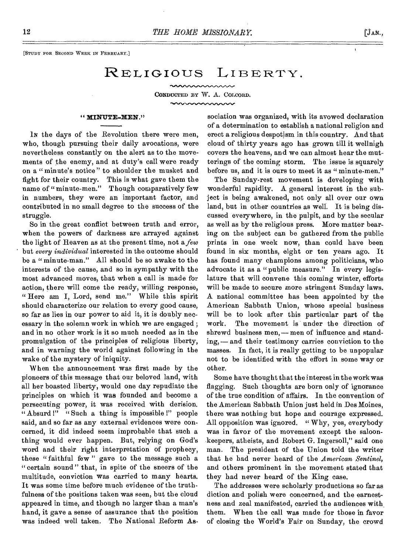[STUDY FOR SECOND WEEK IN FEBRUARY.]

## RELIGIOUS LIBERTY.

CONDUCTED BY W. A. COLCORD.

#### " WINTITE\_WEN

IN the days of the Revolution there were men, who, though pursuing their daily avocations, were nevertheless constantly on the alert as to the movements of the enemy, and at duty's call were ready on a "minute's notice" to shoulder the musket and fight for their country. This is what gave them the name of "minute-men." Though comparatively few in numbers, they were an important factor, and contributed in no small degree to the success of the struggle.

So in the great conflict between truth and error, when the powers of darkness are arrayed against the light of Heaven as at the present time, not a *few*  but *every individual* interested in the outcome should be a " minute-man." All should be so awake to the interests of the cause, and so in sympathy with the most advanced moves, that when a call is made for action, there will come the ready, willing response, " Here am I, Lord, send me." While this spirit should characterize our relation to every good cause, so far as lies in our power to aid it, it is doubly necessary in the solemn work in which we are engaged ; and in no other work is it so much needed as in the promulgation of the principles of religious liberty, and in warning the world against following in the wake of the mystery of iniquity.

When the announcement was first made by the pioneers of this message that our beloved land, with all her boasted liberty, would one day repudiate the principles on which it was founded and become a persecuting power, it was received with derision. "Absurd 1" "Such a thing is impossible 1" people said, and so far as any external evidences were concerned, it did indeed seem improbable that such a thing would ever happen. But, relying on God's word and their right interpretation of prophecy, these "faithful few" gave to the message such a " certain sound" that, in spite of the sneers of the multitude, conviction was carried to many hearts. It was some time before much evidence of the truthfulness of the positions taken was seen, but the cloud appeared in time, and though no larger than a man's hand, it gave a sense of assurance that the position was indeed well taken. The National Reform Association was organized, with its avowed declaration of a determination to establish a national religion and erect a religious despotism in this country. And that cloud of thirty years ago has grown till it wellnigh covers the heavens, and we can almost hear the mutterings of the coming storm. The issue is squarely before us, and it is ours to meet it as "minute-men."

The Sunday-rest movement is developing with wonderful rapidity. A general interest in the subject is being awakened, not only all over our own land, but in other countries as well. It is being discussed everywhere, in the pulpit, and by the secular as well as by the religious press. More matter bearing on the subject can be gathered from the public prints in one week now, than could have been found in six months, eight or ten years ago. It has found many champions among politicians, who advocate it as a "public measure." In every legislature that will convene this coming winter, efforts will be made to secure more stringent Sunday laws. A national committee has been appointed by the American Sabbath Union, whose special business will be to look after this particular part of the work. The movement is under the direction of shrewd business men,— men of influence and standing, — and their testimony carries conviction to the masses. In fact, it is really getting to be unpopular not to be identified with the effort in some way or other.

Some have thought that the interest in the work was flagging. Such thoughts are born only of ignorance of the true condition of affairs. In the convention of the American Sabbath Union just held in Des Moines, there was nothing but hope and courage expressed. All opposition was ignored. "Why, yes, everybody was in favor of the movement except the saloonkeepers, atheists, and Robert G. Ingersoll," said one man. The president of the Union told the writer that he had never heard of the *American Sentinel,*  and others prominent in the movement stated that they had never heard of the King case.

The addresses were scholarly productions so far as diction and polish were concerned, and the earnestness and zeal manifested, carried the audiences with them. When the call was made for those in favor of closing the World's Fair on Sunday, the crowd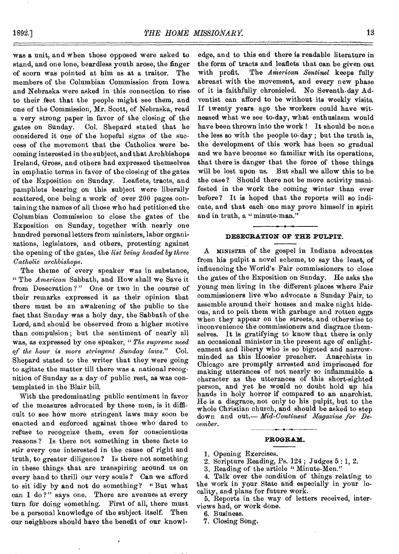was a unit, and when those opposed were asked to stand, and one lone, beardless youth arose, the finger of scorn was pointed at him as at a traitor. The members of the Columbian Commission from Iowa and Nebraska were asked in this connection to rise to their feet that the people might see them, and one of the Commission, Mr. Scott, of Nebraska, read a very strong paper in favor of the closing of the gates on Sunday. Col. Shepard stated that he considered it one of the hopeful signs of the success of the movement that the Catholics were becoming interested in the subject, and that Archbishops Ireland, Gross, and others had expressed themselves in emphatic terms in favor of the closing of the gates of the Exposition on Sunday. Leaflets, tracts, and pamphlets bearing on this subject were liberally scattered, one being a work of over 200 pages containing the names of all those who had petitioned the Columbian Commission to close the gates of the Exposition on Sunday, together with nearly one hundred personal letters from ministers, labor organizations, legislators, and others, protesting against the opening of the gates, the *list being headed by three Catholic archbishops.* 

The theme of every speaker was in substance, " The *American* Sabbath, and How shall we Save it from Desecration?" One or two in the course of their remarks expressed it as their opinion that there must be an awakening of the public to the fact that Sunday was a holy day, the Sabbath of the Lord, and should be observed from a higher motive than compulsion ; but the sentiment of nearly all was, as expressed by one speaker, " The supreme need *of the hour is more stringent Sunday laws."* Col. Shepard stated to the writer that they were going to agitate the matter till there was a national recognition of Sunday as a day of public rest, as was contemplated in the Blair bill.

With the predominating public sentiment in favor of the measures advocated by these men, is it difficult to see how more stringent laws may soon be enacted and enforced against those who dared to refuse to recognize them, even for conscientious reasons ? Is there not something in these facts to stir every one interested in the cause of right and truth, to greater diligence? Is there not something in these things that are transpiring around us on every hand to thrill our very souls ? Can we afford to sit idly by and not do something? "But what can I do?" says one. There are avenues at every turn for doing something. First of all, there must be a personal knowledge of the subject itself. Then our neighbors should have the benefit of our knowl-

edge, and to this end there is readable literature in the form of tracts and leaflets that can be given out with profit. The *American Sentinel* keeps fully abreast with the movement, and every new phase of it is faithfully chronicled. No Seventh-day Adventist can afford to be without its weekly visits. If twenty years ago the workers could have witnessed what we see to-day, what enthusiasm would have been thrown into the work ! It should be none the less so with the people to-day ; but the truth is, the development of this work has been so gradual and we have become so familiar with its operations, that there is danger that the force of these things will be lost upon us. But shall we allow this to be the case ? Should there not be more activity manifested in the work the coming winter than ever before? It is hoped that the reports will so indicate, and that each one may prove himself in spirit and in truth, a " minute-man."

### **DESECRATION OF THE PULPIT.**

A **MINISTER** of the gospel in Indiana advocates from his pulpit a novel scheme, to say the least, of influencing the World's Fair commissioners to close the gates of the Exposition on Sunday. He asks the young men living in the different places where Fair commissioners live who advocate a Sunday Fair, to assemble around their houses and make night hideous, and to pelt them with garbage and rotten eggs when they appear on the streets, and otherwise to inconvenience the commissioners and disgrace themselves. It is gratifying to know that there is only an occasional minister in,the present age of enlightenment and liberty who is so bigoted and narrowminded as this Hoosier preacher. Anarchists in Chicago are promptly arrested and imprisoned for making utterances of not nearly so inflammable a character as the utterances of this short-sighted person, and yet he would no doubt hold up his hands in holy horror *if* compared to an anarchist. He is a disgrace, not only to his pulpit, but to the whole Christian church, and should be asked to step down and out.— *Mid-Continent Magazine for December.* 

### **PROGRAM.**

1. Opening Exercises.

2. Scripture Reading, Ps. 124 ; Judges 5 : 1, 2.

3. Reading of the article " Minute-Men."

4. Talk over the condition of things relating to the work in your State and especially in your locality, and plans for future work.

5. Reports in the way of letters received, interviews had, or work done.

6. Business.

7. Closing Song.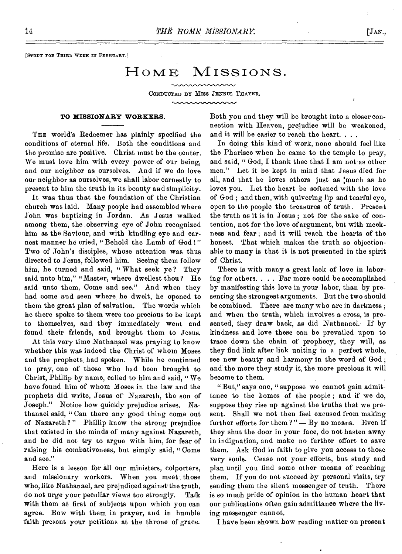[STUDY FOR THIRD WEEK IN FEBRUARY.]

## HOME MISSIONS.

CONDUCTED BY MISS JENNIE THAYER. mmmmmm

#### **TO MISSIONARY WORKERS.**

THE world's Redeemer has plainly specified the conditions of eternal life. Both the conditions and the promise are positive. Christ must be the center. We must love him with every power of our being, and our neighbor as ourselves. And if we do love our neighbor as ourselves, we shall labor earnestly to present to him the truth in its beauty and simplicity.

It was thus that the foundation of the Christian church was laid. Many people had assembled where John was baptizing in Jordan. As Jesus walked among them, the .observing eye of John recognized him as the Saviour, and with kindling eye and earnest manner he cried, " Behold the Lamb of God 1" Two of John's disciples, whose attention was thus directed to Jesus, followed him. Seeing them follow him, he turned and said, "What seek ye? They said unto him," "Master, where dwellest thou? He said unto them, Come and see." And when they had come and seen where, he dwelt, he opened to them the great plan of salvation. The words which he there spoke to them were too precious to be kept to themselves, and they immediately went and found their friends, and brought them to Jesus.

At this very time Nathanael was praying to know whether this was indeed the Christ of whom Moses and the prophets, had spoken. While he continued to pray, one of those who had been brought to Christ, Phillip by name, called to him and said, "We have found him of whom Moses in the law and the prophets did write, Jesus of Nazareth, the son of Joseph." Notice how quickly prejudice arises. Nathanael said, " Can there any good thing come out of Nazareth?" Phillip knew the strong prejudice that existed in the minds of many against Nazareth, and he did not try to argue with him, for fear of raising his combativeness, but simply said, " Come and see."

Here is a lesson for all our ministers, colporters, and missionary workers. When you meet those who, like Nathanael, are prejudiced against the truth, do not urge your peculiar views too strongly. Talk with them at first of subjects upon which you can agree. Bow with them in prayer, and in humble faith present your petitions at the throne of grace.

Both you and they will be brought into a closer connection with Heaven, prejudice will be weakened, and it will be easier to reach the heart. . . .

In doing this kind of work, none should feel like the Pharisee when he came to the temple to pray, and said, " God, I thank thee that I am not as other men." Let it be kept in mind that Jesus died for all, and that he loves others just as 'much as he loves you. Let the heart be softened with the love of God ; and then, with quivering lip and tearful eye, open to the people the treasures of truth. Present the truth as it is in Jesus ; not for the sake of contention, not for the love of argument, but with meekness and fear ; and it will reach the hearts of the honest. That which makes the truth so objectionable to many is that it is not presented in the spirit of Christ.

There is with many a great lack of love in laboring for others. . . . Far more could be accomplished by manifesting this love in your labor, than by presenting the strongest arguments. But the two should be combined. There are many who are in darkness ; and when the truth, which involves a cross, is presented, they draw back, as did Nathanael. If by kindness and love these can be prevailed upon to trace down the chain of prophecy, they will, as they find link after link uniting in a perfect whole, see new beauty and harmony in the word of God ; and the more they study it, the'more precious it will become to them.

"But," says one, " suppose we cannot gain admittance to the homes of the people ; and if we do, suppose they rise up against the truths that we present. Shall we not then feel excused from making further efforts for them ?" — By no means. Even if they shut the door in your face, do not hasten away in indignation, and make no further effort to save them. Ask God in faith to give you access to those very souls. Cease not your efforts, but study and plan until you find some other means of reaching them. If you do not succeed by personal visits, try sending them the silent messenger of truth. There is so much pride of opinion in the human heart that our publications often gain admittance where the living messenger cannot.

I have been shown how reading matter on present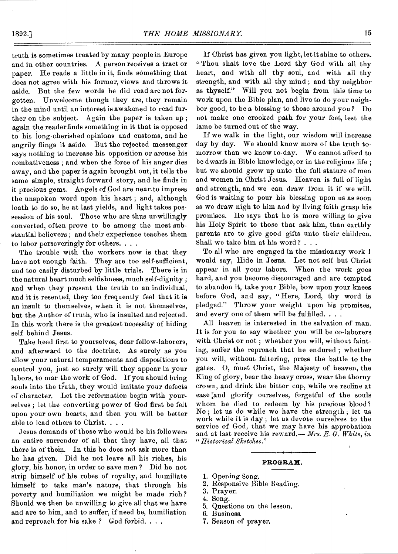truth is sometimes treated by many people in Europe and in other countries. A person receives a tract or paper. He reads a little in it, finds something that does not agree with his former, views and throws it aside. But the few words he did read are not forgotten. Unwelcome though they are, they remain in the mind until an interest is awakened to read further on the subject. Again the paper is taken up ; again the readerfinds something in it that is opposed to his long-cherished opinions and customs, and he angrily flings it aside. But the rejected messenger says nothing to increase his opposition or arouse his combativeness ; and when the force of his anger dies away, and the paper is again brought out, it tells the same simple, straight-forward story, and he finds in it precious gems. Angels of God are near to impress the unspoken word upon his heart ; and, although loath to do so, he at last yields, and light takes possession of his soul. Those who are thus unwillingly converted, often prove to be among the most substantial believers ; and their experience teaches them to labor perseveringly for others. . . .

The trouble with the workers now is that they have not enough faith. They are too self-sufficient, and too easily disturbed by little trials. There is in the natural heart much selfishness, much self-dignity ; and when they present the truth to an individual, and it is resented, they too frequently feel that it is an insult to themselves, when it is not themselves, but the Author of truth, who is insulted and rejected. In this work there is the greatest necessity of hiding self behind Jesus.

Take heed first to yourselves, dear fellow-laborers, and afterward to the doctrine. As surely as you allow your natural temperaments and dispositions to control you, just so surely will they appear in your labors, to mar the work of God. If you should bring souls into the truth, they would imitate your defects of character. Let the reformation begin with yourselves ; let the converting power of God first be felt upon your own hearts, and then you will be better able to lead others to Christ. . . .

Jesus demands of those who would be his followers an entire surrender of all that they have, all that there is of them. In this he does not ask more than he has given. Did he not leave all his riches, his glory, his honor, in order to save men ? Did he not strip himself of his robes of royalty, and humiliate himself to take man's nature, that through his poverty and humiliation we might be made rich ? Should we then be unwilling to give all that we have and are to him, and to suffer, if need be, humiliation and reproach for his sake? God forbid...

If Christ has given you light, let it shine to others. " Thou shalt love the Lord thy God with all thy heart, and with all thy soul, and with all thy strength, and with all thy mind ; and thy neighbor as thyself." Will you not begin from this time to work upon the Bible plan, and live to do your neighbor good, to be a blessing to those around you? Do not make one crooked path for your feet, lest the lame be turned out of the way.

If we walk in the light, our wisdom will increase day by day. We should know more of the truth tomorrow than we know to-day. We cannot afford to be dwarfs in Bible knowledge, or in the religious life ; but we should grow up unto the full stature of men and women in Christ Jesus. Heaven is full of light and strength, and we can draw from it if we will. God is waiting to pour his blessing upon us as soon as we draw nigh to him and by living faith grasp his promises. He says that he is more willing to give his Holy Spirit to those that ask him, than earthly parents are to give good gifts unto their children. Shall we take him at his word? . . .

To all who are engaged in the missionary work I would say, Hide in Jesus. Let not self but Christ appear in all your labors. When the work goes hard, and you become discouraged and are tempted to abandon it, take your Bible, bow upon your knees before God, and say, " Here, Lord, thy word is pledged." Throw your weight upon his promises, and every one of them will be fulfilled. . . .

All heaven is interested in the salvation of man. It is for you to say whether you will be co-laborers with Christ or not ; whether you will, without fainting, suffer the reproach that he endured ; whether you will, without faltering, press the battle to the gates. 0, must Christ, the Majesty of heaven, the King of glory, bear the heavy cross, wear the thorny crown, and drink the bitter cup, while we recline at ease and glorify ourselves, forgetful of the souls whom he died to redeem by his precious blood? No ; let us do while we have the strength ; let us work while it is day ; let us devote ourselves to the service of God, that we may have his approbation and at last receive his reward.— *Mrs. E. O. White, in " Historical Sketches."* 

#### **PROGRAM.**

- 1. Opening Song.
- 2. Responsive Bible Reading.
- 3. Prayer.
- 4. Song.
- 5. Questions on the lesson.
- 6. Business.
- 7. Season of prayer.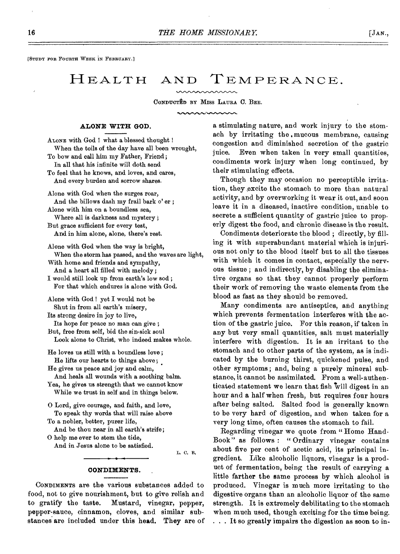[ STUDY FOR FOURTH WEEK IN FEBRUARY.]

### HEALTH AND TEMPERANCE.

CONDUCTED BY MISS LAURA C. BEE.  $\mathbf{a} \cdot \mathbf{a} \cdot \mathbf{a} \cdot \mathbf{a} \cdot \mathbf{a} \cdot \mathbf{a} \cdot \mathbf{a}$ 

#### **ALONE WITH GOD.**

ALONE with God ! what a blessed thought ! When the toils of the day have all been wrought, To bow and call him my Father, Friend; In all that his infinite will doth send

To feel that he knows, and loves, and cares, And every burden and sorrow shares.

Alone with God when the surges roar, And the billows dash my frail bark o' er ; Alone with him on a boundless sea, Where all is darkness and mystery ;

But grace sufficient for every test, And in him alone, alone, there's rest.

Alone with God when the way is bright, When the storm has passed, and the waves are light, With home and friends and sympathy,

And a heart all filled with melody; I would still look up from earth's low sod ; For that which endures is alone with God.

Alone with God ! yet I would not be Shut in from all earth's misery,

Its strong desire in joy to live, Its hope for peace no man can give ; But, free from self, bid the sin-sick soul

Look alone to Christ, who indeed makes whole.

He loves us still with a boundless love ; He lifts our hearts to things above; He gives us peace and joy and calm, And heals all wounds with a soothing balm. Yea, he gives us strength that we cannot know

While we trust in self and in things below.

0 Lord, give courage, and faith, and love, To speak thy words that will raise above To a nobler, better, purer life,

And be thou near in all earth's strife; O help me ever to stem the tide,

And in Jesus alone to be satisfied.

L. C. B.

#### **CONDIMENTS. ,**

CONDIMENTS are the various substances added to food, not to give nourishment, but to give relish and to gratify the taste. Mustard, vinegar, pepper, pepper-sauce, cinnamon, cloves, and similar substances are included under this head. They are of

a stimulating nature, and work injury to the stomach by irritating the , mucous membrane, causing congestion and diminished secretion of the gastric juice. Even when taken in very small quantities, condiments work injury when long continued, by their stimulating effects.

Though they may occasion no perceptible irritation, they excite the stomach to more than natural activity, and by overworking it wear it out, and soon leave it in a diseased, inactive condition, unable to secrete a sufficient quantity of gastric juice to properly digest the food, and chronic disease is the result.

Condiments deteriorate the blood ; directly, by filling it with superabundant material which is injurious not only to the blood itself but to all the tissues with which it comes in contact, especially the nervous tissue ; and indirectly, by disabling the eliminative organs so that they cannot properly perform their work of removing the waste elements from the blood as fast as they should be removed.

Many condiments are antiseptics, and anything which prevents fermentation interferes with the action of the gastric juice. For this reason, if taken in any but very small quantities, salt must materially interfere with digestion. It is an irritant to the stomach and to other parts of the system, as is indicated by the burning thirst, quickened pulse, and other symptoms; and, being a purely mineral substance, it cannot be assimilated. From a well-authenticated statement we learn that fish will digest in an hour and a half when fresh, but requires four hours after being salted. Salted food is generally known to be very hard of digestion, and when taken for a very long time, often causes the stomach to fail.

Regarding vinegar we quote from " Home Hand-Book" as follows : " Ordinary vinegar contains about five per cent of acetic acid, its principal ingredient. Like alcoholic liquors, vinegar is a product of fermentation, being the result of carrying a little farther the same process by which alcohol is produced. Vinegar is much more irritating to the digestive organs than an alcoholic liquor of the same strength. It is extremely debilitating to the stomach when much used, though exciting for the time being. . . . It so greatly impairs the digestion as soon to in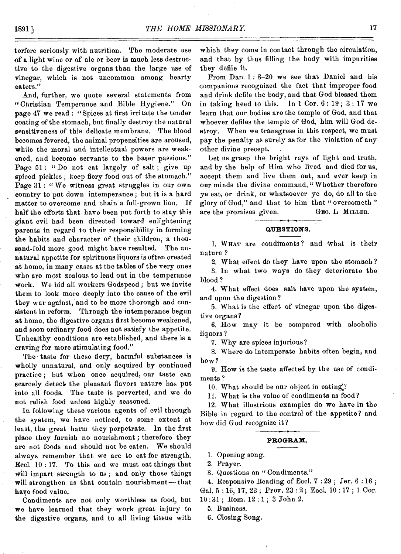terfere seriously with nutrition. The moderate use of a light wine or of ale or beer is much less destructive to the digestive organs than the large use of vinegar, which is not uncommon among hearty eaters."

And, further, we quote several statements from "Christian Temperance and Bible Hygiene." On page 47 we read : "Spices at first irritate the tender coating of the stomach, but finally destroy the natural sensitiveness of this delicate membrane. The blood becomes fevered, the animal propensities are aroused, while the moral and intellectual powers are weakened, and become servants to the baser passions." Page 51: "Do not eat largely of salt; give up spiced pickles ; keep fiery food out of the stomach." Page 31 : "We witness great struggles in our own country to put down intemperance ; but it is a hard matter to overcome and chain a full-grown lion. If half the efforts that have been put forth to stay this giant evil had been directed toward enlightening parents in regard to their responsibility in forming the habits and character of their children, a thousand-fold more good might have resulted. The unnatural appetite for spirituous liquors is often created at home, in many cases at the tables of the very ones who are most zealous to lead out in the temperance work. We bid all workers Godspeed ; but we invite them to look more deeply into the cause of the evil they war against,'and to be more thorough and consistent in reform. Through the intemperance begun at home, the digestive organs first become weakened, and soon ordinary food does not satisfy the appetite. Unhealthy conditions are established, and there is a craving for more stimulating food."

The taste for these fiery, harmful substances is wholly unnatural, and only acquired by continued practice ; but when once acquired, our taste can scarcely detect the pleasant flavors nature has put into all foods. The taste is perverted, and we do not relish food unless highly seasoned.

In following these various agents of evil through the system, we have noticed, to some extent at least, the great harm they perpetrate. In the first place they furnish no nourishment ; therefore they are not foods and should not be eaten. We should always remember that we are to eat for strength. Eccl. 10 : 17. To this end we must eat things that will impart strength to us; and only those things will strengthen us that contain nourishment—that haye food value.

Condiments are not only worthless as food, but we have learned that they work great injury to the digestive organs, and to all living tissue with which they come in contact through the circulation, and that by thus filling the body with impurities they defile it.

From Dan. 1 : 8-20 we see that Daniel and his companions recognized the fact that improper food and drink defile the body, and that God blessed them in taking heed to this. In  $1 \text{ Cor. } 6:19$ ;  $3:17$  we learn that our bodies are the temple of God, and that whoever defiles the temple of God, him will God destroy. When we transgress in this respect, we must pay the penalty as surely as for the violation of any other divine precept. .

Let us grasp the bright rays of light and truth, and by the help of Him who lived and died for us, accept them and live them out, and ever keep in our minds the divine command, "Whether therefore ye eat, or drink, or whatsoever ye do, do all to the glory of God," and that to him that " overcometh " are the promises given. GEO. L MILLER.

#### **QUESTIONS.**

1. WHAT are condiments ? and what is their nature ?

2. What effect do they have upon the stomach ? 3. In what two ways do they deteriorate the blood ?

4. What effect does salt have upon the system, and upon the digestion ?

5. What is the effect of vinegar upon the digestive organs?

6. How may it be compared with alcoholic liquors ?

7. Why are spices injurious?

8. Where do intemperate habits often begin, and how?

9. How is the taste affected by the use of condiments ?

10. What should be our object in eating:?

11. What is the value of condiments as food?

12. What illustrious examples do we have in the Bible in regard to the control of the appetite? and how did God recognize it?



1. Opening song.

2. Prayer.

3. Questions on " Condiments."

4. Responsive Reading of Eccl. 7 : 29 ; Jer. 6 : 16 ;

Gal. 5 : 16, 17, 23 ; Prov. 23 : 2; Eccl. 10 : 17 ; 1 Cor. 10 :31 ; Rom. 12 : 1 ; 3 John 2.

5. Business.

6. Closing Song.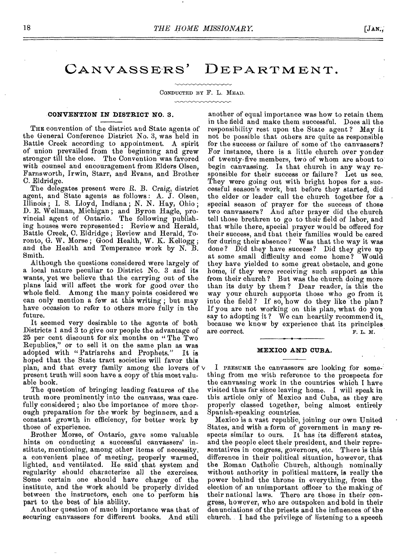CANVASSERS' DEPARTMENT.

CONDUCTED BY F. L. MEAD.  $\sim$   $\sim$   $\sim$   $\sim$   $\sim$   $\sim$ 

#### **CONVENTION IN DISTRICT NO.** 3.

THE convention of the district and State agents of the General Conference District No. 3, was held in Battle Creek according to appointment. A spirit of union prevailed from the beginning and grew stronger till the close. The Convention was favored with counsel and encouragement from Elders Olsen, Farnsworth, Irwin, Starr, and Evans, and Brother C. Eldridge.

The delegates present were R. B. Craig, district agent, and State agents as follows : A. J. Olsen, Illinois; I. S. Lloyd, Indiana; N. N. Hay, Ohio; D. E. Wellman, Michigan; and Byron Hagle, provincial agent of Ontario. The following publishing houses were represented : Review and Herald, Battle Creek, C. Eldridge ; Review and Herald, Toronto, G. W. Morse; Good Health, W. K. Kellogg; and the Health and Temperance work by N. B. Smith.

Although the questions considered were largely of a local nature peculiar to District No. 3 and its wants, yet we believe that the carrying out of the plans laid will affect the work for good over the whole field. Among the many points cosidered we can only mention a few at this writing ; but may have occasion to refer to others more fully in the future.

It seemed very desirable to the agents of both Districts 1 and 3 to give our people the advantage of 25 per cent discount for six months on " The Two Republics," or to sell it on the same plan as was adopted with "Patriarchs and Prophets." It is adopted with "Patriarchs and Prophets." hoped that the State tract societies will favor this plan, and that every family among the lovers of  $\vee$ present truth will soon have a copy of this most valuable book.

The question of bringing leading features of the truth more prominently into the canvass, was carefully considered ; also the importance of more thorough preparation for the work by beginners, and a constant growth in efficiency, for better work by those of experience.

Brother Morse, of Ontario, gave some valuable hints on conducting a successful canvassers' institute, mentioning, among other items of necessity, a convenient place of meeting, properly warmed, lighted, and ventilated. He said that system and regularity should characterize all the exercises. Some certain one should have charge of the institute, and the work should be properly divided between the instructors, each one to perform his part to the best of his ability.

Another question of much importance was that of securing canvassers for different books. And still

another of equal importance was how to retain them in the held and make them successful. Does all the responsibility rest upon the State agent ? May it not be possible that others are quite as responsible for the success or failure of some of the canvassers? For instance, there is a little church over yonder of twenty-five members, two of whom are about to begin canvassing. Is that church in any way responsible for their success or failure? Let us see. They were going out with bright hopes for a successful season's work, but *before* they started, did the elder or leader call the church together for a special season of prayer for the success of those two canvassers? And after prayer did the church tell those brethren to go to their field of labor, and that while there, special prayer would be offered for their success, and that their families would be cared for during their absence? Was that the way it was done? Did they have success? Did they give up<br>at some small difficulty and come home? Would at some small difficulty and come home? they have yielded to some great obstacle, and gone home, if they were receiving such support as this from their church? But was the church doing more than its duty by them ? Dear reader, is this the way your church supports those who go from it into the field? If so, how do they like the plan? If you are not working on this plan, what do you say to adopting it ? We can heartily recommend it, because we know by experience that its principles are correct.  $F. L. M$ . are correct.

#### **MEXICO AND CUBA.**

I PRESUME the canvassers are looking for something from me with reference to the prospects for the canvassing work in the countries which I have visited thus far since leaving home. I will speak in this article only of Mexico and Cuba, as they are, properly classed together, being almost entirely Spanish-speaking countries.

Mexico is a vast republic, joining our own United States, and with a form of government in many respects similar to ours. It has its different states, and the people elect their president, and their representatives in congress, governors, etc. There is this difference in their political situation, however, that the Roman Catholic Church, although nominally without authority in political matters, is really the power behind the throne in everything, from the election of an unimportant officer to the making of their national laws. There are those in their congress, however, who are outspoken and bold in their denunciations of the priests and the influences of the church. I had the privilege of listening to a speech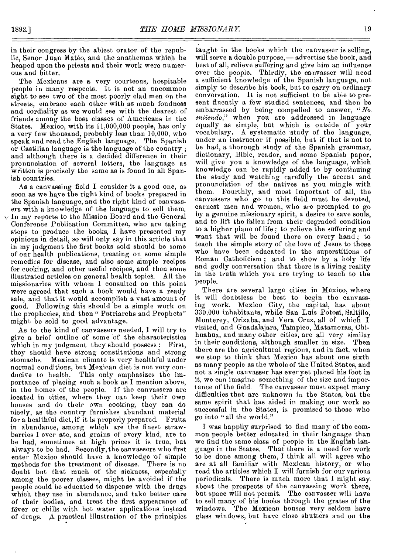in their congress by the ablest orator of the republic, Senor Juan Matéo, and the anathemas which he heaped upon the priests and their work were numerous and bitter.

The Mexicans are a very courteous, hospitable people in many respects. It is not an uncommon sight to see two of the most poorly clad men on the streets, embrace each other with as much fondness and cordiality as we would see with the dearest of friends among the best classes of Americans in the States. Mexico, with its 11,000,000 people, has only a very few thousand, probably less than 10,000, who speak and road the English language. The Spanish or Castilian language is the language of the country ; and although there is a decided difference in their pronunciation of several letters, the language as written is precisely the same as is found in all Spanish countries.

As a canvassing field I consider it a good one, as soon as we have the right kind of books prepared in the Spanish language, and the right kind of canvassers with a knowledge of the language to sell them.  $\sqrt{v}$  In my reports to the Mission Board and the General Conference Publication Committee, who are taking steps to produce the books, I have presented my opinions in detail, so will only say in this article that in my judgment the first books sold should be some of our health publications, treating on some simple remedies for disease, and also some simple recipes for cooking, and other useful recipes, and then some illustrated articles on general health topics. All the missionaries with whom I consulted on this point were agreed that such a book would have a ready sale, and that it would accomplish a vast amount of good. Following this should be a simple work on the prophecies, and then " Patriarchs and Prophets" might be sold to good advantage.

As to the kind of canvassers needed, I will try to give a brief outline of some of the characteristics<br>which in my judgment they should possess: First, which in my judgment they should possess: they should have strong constitutions and strong stomachs. Mexican climate is very healthful under normal conditions, but Mexican diet is not very conducive to health. This only emphasizes the importance of placing such a book as I mention above, in the homes of the people. If the canvassers are located in cities, where they can keep their own houses and do their own cooking, they can do nicely, as the country furnishes abundant material for a healthful diet, if it is properly prepared. Fruits in abundance, among which are the finest strawberries I ever ate, and grains of every kind, are to be had, sometimes at high prices it is true, but always to be had. Secondly, the canvassers who first enter Mexico should have a knowledge of simple methods for the treatment of disease. doubt but that much of the sickness, especially among the poorer classes, might be avoided if the people could be educated to dispense with the drugs which they use in abundance, and take better care of their bodies, and treat the first appearance of fever or chills with hot water applications instead of drugs. A practical illustration of the principles

taught in the books which the canvasser is selling, will serve a double purpose,— advertise the book, and best of all, relieve suffering and give him an influence over the people. Thirdly, the canvasser will need a sufficient knowledge of the Spanish language, not simply to describe his book, but to carry on ordinary conversation. It is not sufficient to be able to present fluently a few studied sentences, and then be embarrassed by being compelled to answer, *"No entiondo,"* when you aro addressed in language equally as simple, but which is outside of your vocabulary. A systematic study of the language, under an instructor if possible, but if that is not to be had, a thorough study of the Spanish grammar, dictionary, Bible, reader, and some Spanish paper, will give you a knowledge of the language, which knowledge can be rapidly added to by continuing the study and watching carefully the accent and pronunciation of the natives as you mingle with them. Fourthly, and most important of all, the canvassers who go to this field must be devoted, earnest men and women, who are prompted to go by a genuine missionary spirit, a desire to save souls, and to lift the fallen from their degraded condition to a higher plane of life; to relieve the suffering and want that will be found there on every hand; to teach the simple story of the love of Jesus to those who have been educated in the superstitions of Roman Catholicism ; and to show by a holy life and godly conversation that there is a living reality in the truth which you are trying to teach to the people.

There are several large cities in Mexico, where it will doubtless be best to begin the canvassing work. Mexico City, the capital, has about 330,000 inhabitants, while San Luis Potosi, Saltillo, Monterey, Orizaba, and Vera Cruz, all of which I visited, and Guadalajara, Tampico, Matamoras, Chihuahua, and many other cities, are all very similar in their conditions, although smaller in size. Then there are the agricultural regions, and in fact, when we stop to think that Mexico has about one sixth as many people as the whole of the United States, and not a single canvasser has ever yet placed his foot in it, we can imagine something of the size and importance of the field. The canvasser must expect many difficulties that are unknown in the States, but the same spirit that has aided in making our work so successful in the States, is promised to those who go into " all the world."

I was happily surprised to find many of the common people better educated in their language than we find the same class of people in the English language in the States. That there is a need for work to be done among them, I think all will agree who are at all familiar with Mexican history, or who read the articles which I will furnish for our various periodicals. There is much more that I might say about the prospects of the canvassing work there, but space will not permit. The canvasser will have to sell many of his books through the grates of the windows. The Mexican houses very seldom have glass windows, but have close shutters and on the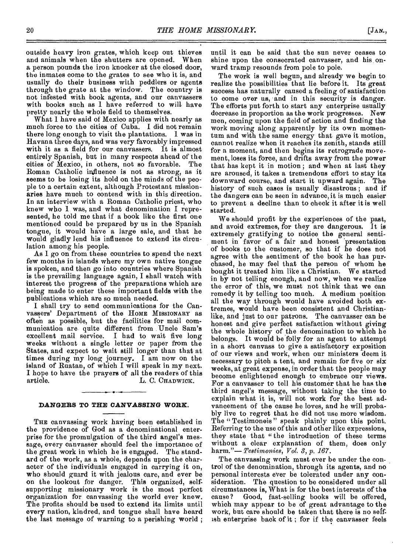outside heavy iron grates, which keep out thieves and animals when the shutters are opened. When a person pounds the iron knocker at the closed door, the inmates come to the grates to see who it is, and usually do their business with peddlers or agents through the grate at the window. The country is not infested with book agents, and our canvassers with books such as I have referred to will have pretty nearly the whole field to themselves.

What I have said of Mexico applies with nearly as much force to the cities of Cuba. I did not remain there long enough to visit the plantations. I was in Havana three days, and was very favorably impressed with it as a field for our canvassers. It is almost entirely Spanish, but in many respects ahead of the cities of Mexico, in others, not so favorable. Roman Catholic influence is not as strong, as it seems to be losing its hold on the minds of the people to a certain extent, although Protestant missionaries have much to contend with in this direction. In an interview with a Roman Catholic priest, who knew who I was, and what denomination I represented, he told me that if a book like the first one mentioned could be prepared by us in the Spanish tongue, it would have a large sale, and that he would gladly lend his influence to extend its circulation among his people.

As I go on from these countries to spend the next few months in islands where my own native tongue is spoken, and then go into countries where Spanish is the prevailing language again, I shall watch with interest the progress of the preparations which are being made to enter these important fields with the publications which are so much needed.

I shall try to send communications for the Canvassers' Department of the HOME MISSIONARY as often as possible, but the facilities for mail communication are quite different from Uncle Sam's excellent mail service. I had to wait five long weeks without a single letter or paper from the States, and expect to wait still longer than that at times during my long journey. I am now on the island of Ruatan, of which I will speak in my next. I hope to have the prayers of all the readers of this L. C. Chadwick.

#### **DANGERS TO THE** *CANVASSING WORK.*

THE canvassing work having been established in the providence of God as a denominational enterprise for the promulgation of the third angel's message, every canvasser should feel the importance of the great work in which he is engaged. The standard of the work, as a whole, depends upon the character of the individuals engaged in carrying it on, who should guard it with jealous care, and ever be on the lookout for danger. This organized, selfsupporting missionary work is the most perfect organization for canvassing the world ever knew. The profits should be used to extend its limits until every nation, kindred, and tongue shall have heard the last message of warning to a perishing world ;

until it can be said that the sun never ceases to shine upon the consecrated canvasser, and his onward tramp resounds from pole to pole.

The work is well begun, and already we begin to realize the possibilities that lie before it. Its great success has naturally caused a feeling of satisfaction to come over us, and in this security is danger. The efforts put forth to start any enterprise usually decrease in proportion as the work progresses. New men, coming upon the field of action and finding the work moving along apparently by its own momentum and with the same energy that gave it motion, cannot realize when it reaches its zenith, stands still for a moment, and then begins its retrograde movement, loses its force, and drifts away from the power that has kept it in motion ; and when at last they are aroused, it takes a tremendous effort to stay its downward course, and start it upward again. The history of such cases is usually disastrous ; and if the dangers can be seen in advance, it is much easier to prevent a decline than to check it after it is well started.

We should profit by the experiences of the past, and avoid extremes, for they are dangerous. It is extremely gratifying to notice the general sentiment in favor of a fair and honest 'presentation of books to the customer, so that if he does not agree with the sentiment of the book he has purchased, he may feel that the person of whom he bought it treated him like a Christian. We started in by not telling enough, and now, when we realize the error of this, we must not think that we can remedy it by telling too much. A medium position all the way through would have avoided both extremes, would have been consistent and Christianlike, and just to our patrons. The canvasser can be honest and give perfect satisfaction without giving the whole history of the denomination to which he belongs. It would be folly for an agent to attempt in a short canvass to give a satisfactory exposition of our views and work, when our ministers deem it necessary to pitch a tent, and remain for five or six weeks, at great expense, in order that the people may become enlightened enough to embrace our views. For a canvasser to tell his customer that he has the third angel's message, without taking the time to explain what it is, will not work for the best advancement of the cause he loves, and he will probably live to regret that he did not use more wisdom. The "Testimoneis" speak plainly upon this point. Referring to the use of this and other like expressions, they state that "the introduction of these terms without a clear explanation of them, does only harm."— *Testimonies, Vol. 3, p. 167.* 

The canvassing work must ever be under the control of the denomination, through its agents, and no personal interests ever be tolerated under any consideration. The question to be considered under all circumstances is, What is for the best interests of the Good, fast-selling books will be offered, which may appear to be of great advantage to the work, but care should be taken that there is no selfish enterprise back of it ; for if the canvasser feels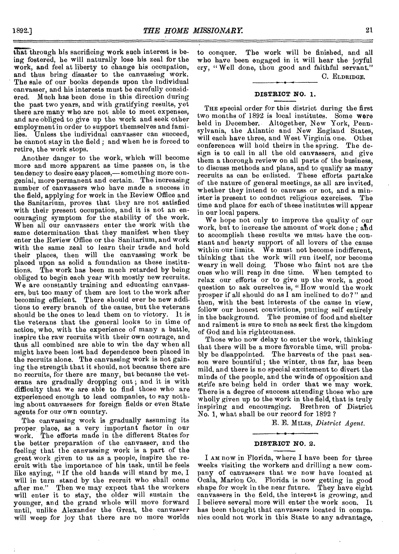that through his sacrificing work such interest is being fostered, he will naturally lose his zeal for the work, and feel at liberty to change his occupation, and thus bring disaster to the canvassing work. The sale of our books depends upon the individual canvasser, and his interests must be carefully considered. Much has been done in this direction during the past two years, and with gratifying results, yet there are many who are not able to meet expenses, and are obliged to give up the work and seek other employment in order to support themselves and families. Unless the individual canvasser can succeed, he cannot stay in the field ; and when he is forced to retire, the work stops.

Another danger to the work, which will become more and more apparent as time passes on, is the tendency to desire easy places,— something more congenial, more permanent and certain. The increasing number of canvassers who have made a success in the field, applying for work in the Review Office and the Sanitarium, proves that they are not satisfied with their present occupation, and it is not an encouraging symptom for the stability of the work. When all our canvassers enter the work with the same determination that they manifest when they enter the Review Office or the Sanitarium, and work with the same zeal to learn their trade and hold their places, then will the canvassing work be placed upon as solid a foundation as these institu-The work has been much retarded by being obliged to begin each year with mostly new recruits. We are constantly training and educating canvassers, but too many of them are lost to the work after becoming efficient. There should ever be new additions to every branch of the cause, but the veterans should be the ones to lead them on to victory. It is the veterans that the general looks to in time of action, who, with the experience of many a battle, inspire the raw recruits with their own courage, and thus all combined are able to win the day when all might have been lost had dependence been placed in the recruits alone. The canvassing work is not gaining the strength that it should, not because there are no recruits, for there are many, but because the veterans are gradually dropping out ; and it is with difficulty that we are able to find those who are experienced enough to lead companies, to say nothing about canvassers for foreign fields or even State agents for our own country.

The canvassing work is gradually assuming its proper place, as a very important factor in our work. The efforts made in the different States for the better preparation of the canvasser, and the feeling that the canvassing work is a part of the great work given to us as a people, inspire the recruit with the importance of his task, until he feels like saying, " If the old bands will stand by me, I will in turn stand by the recruit who shall come after me." Then we may expect that the workers will enter it to stay, the older will sustain the younger, and the grand whole will move forward until, unlike Alexander the Great, the canvasser will weep for joy that there are no more worlds

to conquer. The work will be finished, and all who have been engaged in it will hear the joyful cry, " Well done, thou good and faithful servant."

C. ELDRIDGE.

#### **DISTRICT NO. I.**

THE special order for this district during the first two months of 1892 is local institutes. Some were held in December. Altogether, New York, Pennsylvania, the Atlantic and New England States, will each have three, and West Virginia one. Other conferences will hold theirs in the spring. The design is to call in all the old canvassers, and give them a thorough review on all parts of the business, to discuss methods and plans, and to qualify as many recruits as can be enlisted. These efforts partake of the nature of general meetings, as all are invited, whether they intend to canvass or not, and a minister is present to conduct religious exercises. The time and place for each of these institutes will appear in our local papers.

We hope not only to improve the quality of our work, but to increase the amount of work done ; afid to accomplish these results we must have the constant and hearty support of all lovers of the cause within our limits. We must not become indifferent, thinking that the work will run itself, nor become weary in well doing. Those who faint not are the ones who will reap in due time. When tempted to relax our efforts or to give up the work, a good question to ask ourselves is, "How would the work prosper if all should do as I am inclined to do?" and then, with the best interests of the cause in view, follow our honest convictions, putting self entirely in the background. The promise of food and shelter and raiment is sure to such as seek first the kingdom of God and his righteousness.

Those who now delay to enter the work, thinking that there will be a more favorable time, will probably be disappointed. The harvests of the past season were bountiful; the winter, thus far, has been mild, and there is no special excitement to divert the minds of the people, and the winds of opposition and strife are being held in order that we may work. There is a degree of success attending those who are wholly given up to the work in the field, that is truly inspiring and encouraging. Brethren of District No. 1, what shall be our record for 1892 ?

E. E. MILES, *District Agent.* 

#### **DISTRICT NO.** 2.

I AM now in Florida, where I have been for three weeks visiting the workers and drilling a new company of canvassers that we now have located at Ocala, Marion Co. Florida is now getting in good shape for work in the near future. They have eight canvassers in the field, the interest is growing, and I believe several more will enter the work soon. It has been thought that canvassers located in companies could not work in this State to any advantage,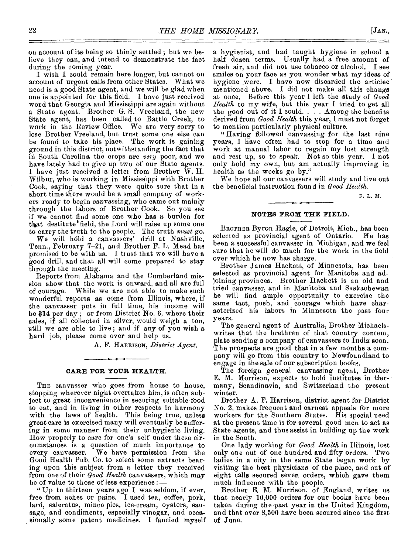on account of its being so thinly settled ; but we believe they can, and intend to demonstrate the fact during the coming year.

I wish I could remain here longer, but cannot on account of urgent calls from other States. What we need is a good State agent, and we will be glad when one is appointed for this field. I have just received word that Georgia and Mississippi are again without a State agent. Brother G. S. Vreeland, the new State agent, has been called to Battle Creek, to work in the Review Office. We are very sorry to lose Brother Vreeland, but trust some one else can be found to take his place. The work is gaining ground in this district, notwithstanding the fact that in South Carolina the crops are *very* poor, and we have lately had to give up two of our State agents. I have just received a letter from Brother W. H. Wilbur, who is working in Mississippi with Brother Cook, saying that they were quite sure that in a short time there would be a small company of workers ready to begin canvassing, who came out mainly through the labors of Brother Cook. So you see if we cannot find some one who has a burden for that destitute' field, the Lord will raise up some one to carry the truth to the people. The truth *must* go.

We will hcild a canvassers' drill at Nashville, Tenn., February 7-21, and Brother F. L. Mead has promised to be with us. I trust that we will have a good drill, and that all will come prepared to stay through the meeting.

Reports from Alabama and the Cumberland mission show that the work is onward, and all are full of courage. While we are not able to make such wonderful reports as come from Illinois, where, if the canvasser puts in full time, his income will be \$14 per day ; or from District No. 6, where their sales, if all collected in silver, would weigh a ton, still we are able to live ; and if any of you wish a hard job, please come over and help us.

A. F. HARRISON, *District Agent.* 

#### **CARE FOR YOUR HEALTH.**

THE canvasser who goes from house to house, stopping wherever night overtakes him, is often subject to great inconvenience in securing suitable food to eat, and in living in other respects in harmony with the laws of health. This being true, unless great care is exercised many will eventually be suffering in some manner from their unhygienic living. How properly to care for one's self under these circumstances is a question of much importance to We have permission from the Good Health Pub. Co. to select some extracts bearing upon this subject from a letter they received from one of their *Good Health* canvassers, which may be of value to those of less experience :—

" Up to thirteen years ago I was seldom, if ever, free from aches or pains. I used tea, coffee, pork, lard, saleratus, mince pies, ice-cream, oysters, sausage, and condiments, especially vinegar, and occasionally some patent medicines. I fancied myself a hygienist, and had taught hygiene in school a half' dozen terms. Usually had a free amount of fresh air, and did not use tobacco or alcohol. I see smiles on your face as you wonder what my ideas of hygiene were. I have now discarded the artielee mentioned above. I did not make all this changs at once. Before this year I left the study of *Good Health* to my wife, but this year I tried to get all the good out of it I could. . . . Among the benefits derived from *Good Health* this year, I must not forget to mention particularly physical culture.

"Having followed canvassing for the last nine years, I have often had to stop for a time and work at manual labor to regain my lost strength and rest up, so to speak. Not so this year. I not only hold my own, but am actually improving in health as the weeks go by."

We hope all our canvassers will study and live out the beneficial instruction found in *Good \_Health.* 

#### F. L. H.

#### **NOTES FROM THE FIELD.**

BROTHER Byron Hagle, of Detroit, Mich., has been selected as provincial agent of Ontario. He has been a successful canvasser in Michigan, and we feel sure that he will do much for the work in the field over which he now has charge.

Brother James Hackett, of Minnesota, has been selected as provincial agent for Manitoba and adjoining provinces. Brother Hackett is an old and tried canvasser, and in Manitoba and Saskachewan he will find ample opportunity to exercise the same tact, push, and courage which have characterized his labors in Minnesota the past four years.

The general agent of Australia, Brother Michaelswrites that the brethren of that country contem, plate sending a company of canvassers to India soon. The prospects are good that in a few months a company will go from this country to Newfoundland to engage in the sale of our subscription books.

The foreign general canvassing agent, Brother E. M. Morrison, expects to hold institutes in Germany, Scandinavia, and Switzerland the present winter.

Brother A. F. Harrison, district agent for District No. 2, makes frequent and earnest appeals for more workers for the Southern States. His special need at the present time is for several good men to act as State agents, and thus assist in building up the work in the South.

One lady working for *Good Health* in Illinois, lost only one out of one hundred and fifty orders. Two ladies in a city in the same State began work by visiting the best physicians of the place, and out of eight calls secured seven orders, which gave them much influence with the people.

Brother E. M. Morrison, of England, writes us that nearly 10,000 orders for our books have been taken during the past year in the United Kingdom, and that over 8,500 have been secured since the first of June.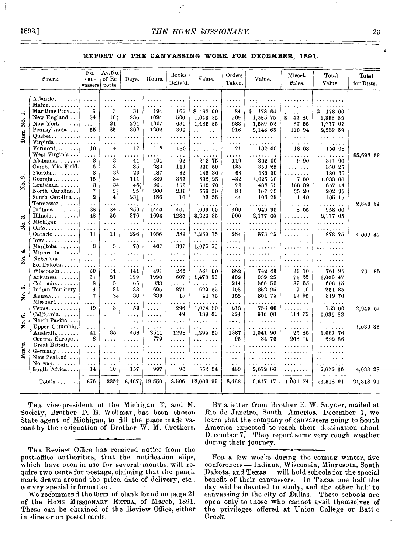**REPORT OF THE CANVASSING WORK FOR DECEMBER, 1891.** 

|          | STATE.                                                                          | No.<br>can-<br>vassers                                       | Av.No.<br>of Re-<br>ports.                             | Days.                     | Hours.                                              | <b>Books</b><br>Deliv'd.                                                                                                 | Value.                                     | Orders<br>Taken.                               | Value.                                         | Miscel.<br>Sales.                       | Total<br>Value.                    | Total<br>for Dists. |
|----------|---------------------------------------------------------------------------------|--------------------------------------------------------------|--------------------------------------------------------|---------------------------|-----------------------------------------------------|--------------------------------------------------------------------------------------------------------------------------|--------------------------------------------|------------------------------------------------|------------------------------------------------|-----------------------------------------|------------------------------------|---------------------|
|          | Atlantic<br>Maine                                                               | $\mathbf{r}$ , $\mathbf{r}$ , $\mathbf{r}$ ,<br>$\sim 1.1$ . | $\cdots$<br>$\cdots$                                   | .<br>$\sim$ $\sim$ $\sim$ | $1 + 1 + 1$<br>.                                    | $\cdots$<br>.                                                                                                            | .<br>.                                     | .<br>.                                         | .<br>.                                         | .<br>.                                  | . <b>.</b> .<br>.                  |                     |
| H        | Maritime Prov<br>New England                                                    | 6<br>24                                                      | 3<br>16 <sub>3</sub>                                   | 31<br>236                 | 194<br>1094                                         | 167<br>506                                                                                                               | \$46200<br>1,043 25                        | 84<br>509                                      | \$17800<br>1,285 75                            | . <i>.</i><br>47 80<br><b>常</b>         | \$17800<br>1,333 55                |                     |
| ż.       | New York $\dots$ .<br>Pennsylvania                                              | $\cdots$<br>55                                               | 21<br>25                                               | 294<br>302                | 1307<br>1202                                        | 630<br>399                                                                                                               | 1,486 25<br>.                              | 683<br>916                                     | 1,689 52<br>2,148 65                           | 87 55<br>110 94                         | 1,777 07<br>2,259 59               |                     |
| DIST.    | Quebec. $\dots \dots$<br>Virginia<br>$\verb Vermont , \ldots, \ldots$           | $\sim 100$ .<br>$\ldots$<br>10                               | $\cdots$<br>$\cdots$<br>$\overline{4}$                 | .<br>.<br>17              | .<br>$\cdots$<br>118                                | .<br>$\frac{1}{2} \left( \frac{1}{2} \left( \frac{1}{2} \right) + \frac{1}{2} \left( \frac{1}{2} \right) \right)$<br>180 | .<br>.<br>.                                | .<br>.<br>71                                   | . <i>.</i><br>.<br>132 00                      | . <b>.</b> .<br>.<br>18 68              | . <b>.</b><br>. <i>.</i><br>150 68 |                     |
|          | West Virginia<br>Alabama $\ldots$                                               | $\sim$<br>3                                                  | $\sim$ $\sim$ $\sim$ $\sim$<br>3                       | .<br>44                   | $\cdots$<br>401                                     | .<br>92                                                                                                                  | .<br>213 75                                | .<br>119                                       | .<br>302 00                                    | .<br>9 90                               | .<br>311 90                        | \$5,698 89          |
| σi       | Cumb. Mis. Field.<br>$Florida$<br>Georgia                                       | 6<br>3<br>15                                                 | 3<br>3 <sup>1</sup><br>$3\frac{3}{5}$                  | 35<br>23<br>111           | 280<br>187<br>889                                   | 111<br>82<br>357                                                                                                         | 230 50<br>146 30<br>832 25                 | 135<br>68<br>432                               | 350 25<br>180 50<br>1,025 50                   | . <i>.</i><br>.<br>750                  | 350 25<br>180 50<br>1,033 00       |                     |
| ż        | Louisiana<br>North Carolina                                                     | 3<br>7<br>$^{2}$                                             | $3\frac{1}{2}$<br>23                                   | 45.1<br>25                | 361<br>200                                          | 153<br>231                                                                                                               | 612 70<br>556 50                           | 73<br>83                                       | 488 75<br>167 75                               | 168 39<br>35 20                         | 657 14<br>202 95                   |                     |
|          | South Carolina<br>Tennessee<br>Indiana                                          | $\sim$ $\sim$ $\sim$ $\sim$<br>28                            | 4<br>.<br>24                                           | 23.1<br>$\cdots$<br>250   | 186<br>.<br>1440                                    | 10<br>وللمعادي<br>405                                                                                                    | 23 55<br>$\ddot{\phantom{a}}$<br>1,099 00  | 44<br>.<br>400                                 | 103 75<br>$\ddot{\phantom{0}}$<br>949 95       | 140<br>.<br>$\ddot{\phantom{a}}$<br>865 | 105 15<br>. <i>.</i><br>958 60     | 2,840 89            |
| က်<br>ż. | $IIIinois, \ldots \ldots$<br>$\text{Michigan}\ldots\ldots$                      | 48<br>$\alpha$ is a $\alpha$                                 | 26<br>$\cdots$                                         | 376<br>$\cdots$           | 1693<br>$\cdots$                                    | 1285<br>.                                                                                                                | 3,220 85<br>.                              | 900<br>.                                       | 2,177 05<br>.                                  | .<br>.                                  | 2,177 05<br>.                      |                     |
|          | $Ohio. \ldots \ldots \ldots$<br>Ontario $\ldots$<br>$Iowa \ldots \ldots \ldots$ | $\cdots$<br>11<br>$\cdots$                                   | $\cdots$<br>11<br>.                                    | $\cdots$<br>226<br>.      | .<br>1556<br>.                                      | .<br>589<br>.                                                                                                            | . <b>.</b><br>1,259 75<br>.                | .<br>234<br>.                                  | . <b>.</b><br>873 75<br>.                      | $\ddots$<br>1.1.1.1<br>$\cdots$<br>.    | .<br>873 75<br>. <b>.</b>          | 4,009 40            |
| أبه      | Manitoba<br>Minnesota<br>Nebraska                                               | 3<br>$\cdots$                                                | 3<br>$\cdots$                                          | 70<br>$\cdots$            | 407<br>.                                            | 397<br>.                                                                                                                 | 1,075 50<br>.                              | $\alpha$ , $\alpha$ , $\alpha$ , $\alpha$<br>. | .<br>.                                         | . <i>.</i>                              | .<br>.                             |                     |
| ż.       | So. Dakota<br>$Wiseonsin \ldots \ldots$                                         | $\sim 100$<br>$\sim$ $\sim$ $\sim$<br>20                     | $\cdots$<br>$\sim 100$<br>14                           | .<br>$\cdots$<br>141      | $\cdots$<br>.<br>491                                | .<br>$\cdots$<br>286                                                                                                     | .<br>. <b>. .</b><br>531 00                | .<br>.<br>382                                  | . <i>.</i> .<br>742 85                         | .<br>19 10                              | .<br>.<br>761 95                   | 761 95              |
| ະວ່      | Arkansas.<br>$\text{Colorado.} \ldots \ldots$<br>Indian Territory.              | 31<br>8<br>4                                                 | 21<br>5<br>$3\frac{4}{5}$                              | 199<br>65<br>33           | 1990<br>333<br>695                                  | 607<br>.                                                                                                                 | 1,478 50<br>$\ddot{\phantom{a}}$<br>629 25 | 402<br>214                                     | 932 25<br>566 50                               | 71 22<br>39 65<br>910                   | 1,003 47<br>606 15                 |                     |
| ż.       | $Kanas, \ldots, \ldots$<br>$Missout: \ldots$                                    | 7<br>$\cdots$                                                | $2\frac{4}{5}$<br>$\ddot{\phantom{a}}$                 | 36<br>                    | 239<br>.                                            | 271<br>15<br>.                                                                                                           | 41 75<br>.<br>$\ddotsc$                    | 108<br>152<br>$\sim$ $\sim$ $\sim$             | 252 25<br>301 75<br>$\cdots$<br>الأراد المرابة | 17 95<br>. <b>.</b>                     | 261 35<br>319 70<br>. <b>.</b>     |                     |
| ۰ö       | $T$ exas<br>California<br>North Pacific                                         | 19<br>$\bar{\psi}$ is a $\bar{\psi}$                         | 3<br>$\cdots$                                          | 50<br>$\cdots$            | $\ldots$ .<br>.                                     | 296<br>49                                                                                                                | 1,074 50<br>139 00                         | 213<br>324                                     | 753 00<br>916 08                               | .<br>114 75                             | 753 00<br>1,030 83                 | 2,943 67            |
| g,       | Upper Columbia,<br>Australia                                                    | $\cdots$<br>$\cdots$<br>41                                   | $\cdots$<br>$\cdots$<br>35                             | .<br>.<br>468             | $\cdots$<br>.<br>2511                               | .<br>.<br>1298                                                                                                           | .<br>. <b>. .</b><br>1,295 50              | .<br>.<br>1287                                 | .<br>1,041 90                                  | .<br>.<br>25 86                         | . <i>.</i><br>.<br>1,067 76        | 1,030 83            |
| FOR'N.   | Central Europe<br>Great Britain<br>$Germany \ldots \ldots$                      | 8<br>$\ldots$ .<br>$\sim 100$                                | $\cdots$<br>$\alpha$ , $\alpha$ , $\alpha$<br>$\cdots$ | .<br>.                    | - 779<br>والرود                                     | i kalend<br>$\cdots$<br>.                                                                                                | .<br>.<br>.                                | 96<br>.<br>.                                   | 84 76<br>. <i>.</i> .<br>. <b>.</b>            | 208 10<br>.                             | 292 86<br>.<br>. <b>.</b> .        |                     |
|          | New Zealand<br>Norway                                                           | $\cdots$<br>$\alpha$ , $\alpha$ , $\alpha$                   | $\cdots$<br>$\cdots$                                   | $\cdots$<br>.<br>.        | $\cdots$<br>$\sim$ $\sim$ $\sim$ $\sim$ $\sim$<br>. | .<br>1.1.1.1                                                                                                             | .<br>. <b>.</b>                            | .<br>.                                         | .<br>.                                         | .                                       | .<br>.                             |                     |
|          | South Africa                                                                    | 14                                                           | 10                                                     | 157                       | 997                                                 | 90                                                                                                                       | 552 34                                     | 483                                            | 2,672 66                                       | .                                       | 2,672 66                           | 4,033 28            |
|          | Totals $\dots$                                                                  | 376                                                          | 235\$                                                  | $3,467\frac{5}{8}$        | 19,550                                              | 8,506                                                                                                                    | 18,003 99                                  | 8,462                                          | 10,317 17                                      | 1,001 74                                | 21,318 91                          | 21,318 91           |

THE vice-president of the Michigan T. and M. Society, Brother D. E. Wellman, has been chosen State agent of Michigan, to fill the place made vacant by the resignation of Brother W. M. Crothers.

THE Review Office has received notice from the post-office authorities, that the notification slips, which have been in use for several months, will require two cents for postage, claiming that the pencil mark drawn around the price, date of delivery, etc., -convey special information.

We recommend the form of blank found on page 21 of the HOME MISSIONARY EXTRA, of March, 1891. These can be obtained of the Review Office, either in slips or on postal cards.

BY a letter from Brother E. W. Snyder, mailed at Rio de Janeiro, South America, December 1, we learn that the company of canvassers going to South America expected to reach their destination about December 7. They report some very rough weather during their journey.

FOR a few weeks during the coming winter, five conferences - Indiana, Wisconsin, Minnesota, South Dakota, and Texas - will hold schools for the special benefit of their canvassers. In Texas one half the day will be devoted to study, and the other half to canvassing in the city of Dallas. These schools are open only to those who cannot avail themselves of the privileges offered at Union College or Battle Creek.

*9*